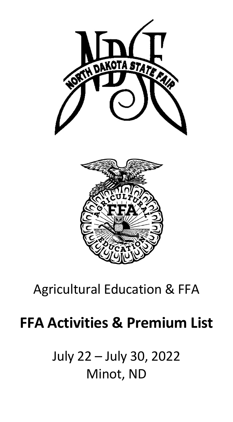

# Agricultural Education & FFA

# **FFA Activities & Premium List**

July 22 – July 30, 2022 Minot, ND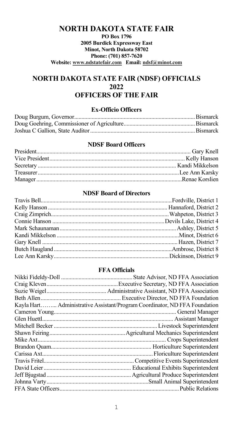# **NORTH DAKOTA STATE FAIR PO Box 1796 2005 Burdick Expressway East Minot, North Dakota 58702 Phone: (701) 857-7620 Website: www.ndstatefair.com Email: ndsf@minot.com**

# **NORTH DAKOTA STATE FAIR (NDSF) OFFICIALS 2022 OFFICERS OF THE FAIR**

#### **Ex-Officio Officers**

#### **NDSF Board Officers**

# **NDSF Board of Directors**

# **FFA Officials**

| Kayla Hart Administrative Assistant/Program Coordinator, ND FFA Foundation |
|----------------------------------------------------------------------------|
|                                                                            |
|                                                                            |
|                                                                            |
|                                                                            |
|                                                                            |
|                                                                            |
|                                                                            |
|                                                                            |
|                                                                            |
|                                                                            |
|                                                                            |
|                                                                            |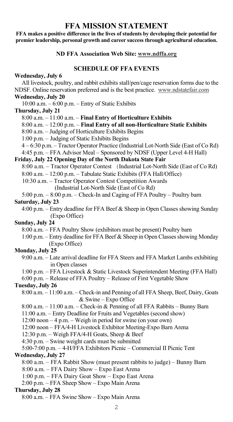# **FFA MISSION STATEMENT**

**FFA makes a positive difference in the lives of students by developing their potential for premier leadership, personal growth and career success through agricultural education.**

#### **ND FFA Association Web Site: www.ndffa.org**

# **SCHEDULE OF FFA EVENTS**

#### **Wednesday, July 6**

 All livestock, poultry, and rabbit exhibits stall/pen/cage reservation forms due to the NDSF. Online reservation preferred and is the best practice. www.ndstatefair.com

#### **Wednesday, July 20**

10:00 a.m. – 6:00 p.m. – Entry of Static Exhibits

#### **Thursday, July 21**

8:00 a.m. – 11:00 a.m. – **Final Entry of Horticulture Exhibits**

- 8:00 a.m. 12:00 p.m. **Final Entry of all non-Horticulture Static Exhibits**
- 8:00 a.m. Judging of Horticulture Exhibits Begins
- 1:00 p.m. Judging of Static Exhibits Begins

4 – 6:30 p.m. – Tractor Operator Practice (Industrial Lot-North Side (East of Co Rd)

4:45 p.m. – FFA Advisor Meal – Sponsored by NDSF (Upper Level 4-H Hall)

#### **Friday, July 22 Opening Day of the North Dakota State Fair**

- 8:00 a.m. Tractor Operator Contest (Industrial Lot-North Side (East of Co Rd)
- 8:00 a.m. 12:00 p.m. Tabulate Static Exhibits (FFA Hall/Office)
- 10:30 a.m. Tractor Operator Contest Competition Awards

(Industrial Lot-North Side (East of Co Rd)

- 5:00 p.m. 8:00 p.m. Check-In and Caging of FFA Poultry Poultry barn **Saturday, July 23**
	- 4:00 p.m. Entry deadline for FFA Beef & Sheep in Open Classes showing Sunday (Expo Office)

#### **Sunday, July 24**

- 8:00 a.m. FFA Poultry Show (exhibitors must be present) Poultry barn
- 1:00 p.m. Entry deadline for FFA Beef & Sheep in Open Classes showing Monday (Expo Office)

#### **Monday, July 25**

- 9:00 a.m. Late arrival deadline for FFA Steers and FFA Market Lambs exhibiting in Open classes
- 1:00 p.m. FFA Livestock & Static Livestock Superintendent Meeting (FFA Hall)
- 6:00 p.m. Release of FFA Poultry Release of First Vegetable Show

#### **Tuesday, July 26**

- 8:00 a.m. 11:00 a.m. Check-in and Penning of all FFA Sheep, Beef, Dairy, Goats & Swine – Expo Office
- 8:00 a.m. 11:00 a.m. Check-in & Penning of all FFA Rabbits Bunny Barn
- 11:00 a.m. Entry Deadline for Fruits and Vegetables (second show)
- 12:00 noon 4 p.m. Weigh in period for swine (on your own)
- 12:00 noon FFA/4-H Livestock Exhibitor Meeting-Expo Barn Arena
- 12:30 p.m. Weigh FFA/4-H Goats, Sheep & Beef
- 4:30 p.m. Swine weight cards must be submitted

#### 5:00-7:00 p.m. – 4-H/FFA Exhibitors Picnic – Commercial II Picnic Tent

#### **Wednesday, July 27**

- 8:00 a.m. FFA Rabbit Show (must present rabbits to judge) Bunny Barn
- 8:00 a.m. FFA Dairy Show Expo East Arena
- 1:00 p.m. FFA Dairy Goat Show Expo East Arena
- 2:00 p.m. FFA Sheep Show Expo Main Arena

#### **Thursday, July 28**

8:00 a.m. – FFA Swine Show – Expo Main Arena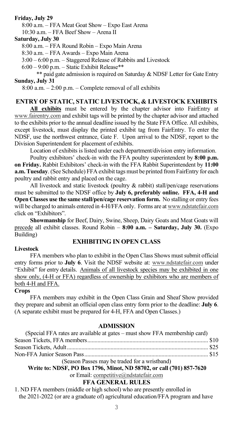#### **Friday, July 29**

 8:00 a.m. – FFA Meat Goat Show – Expo East Arena 10:30 a.m. – FFA Beef Show – Arena II

#### **Saturday, July 30**

8:00 a.m. – FFA Round Robin – Expo Main Arena

8:30 a.m. – FFA Awards – Expo Main Arena

3:00 – 6:00 p.m. – Staggered Release of Rabbits and Livestock

6:00 – 9:00 p.m. – Static Exhibit Release\*\*

\*\* paid gate admission is required on Saturday & NDSF Letter for Gate Entry **Sunday, July 31**

8:00 a.m. – 2:00 p.m. – Complete removal of all exhibits

#### **ENTRY OF STATIC, STATIC LIVESTOCK, & LIVESTOCK EXHIBITS**

**All exhibits** must be entered by the chapter advisor into FairEntry at www.fairentry.com and exhibit tags will be printed by the chapter advisor and attached to the exhibits prior to the annual deadline issued by the State FFA Office. All exhibits, except livestock, must display the printed exhibit tag from FairEntry. To enter the NDSF, use the northwest entrance, Gate F. Upon arrival to the NDSF, report to the Division Superintendent for placement of exhibits.

Location of exhibits is listed under each department/division entry information.

Poultry exhibitors' check-in with the FFA poultry superintendent by **8:00 p.m. on Friday.** Rabbit Exhibitors' check-in with the FFA Rabbit Superintendent by **11:00 a.m. Tuesday**. (See Schedule) FFA exhibit tags must be printed from FairEntry for each poultry and rabbit entry and placed on the cage.

All livestock and static livestock (poultry & rabbit) stall/pen/cage reservations must be submitted to the NDSF office by **July 6, preferably online. FFA, 4-H and Open Classes use the same stall/pen/cage reservation form.** No stalling or entry fees will be charged to animals entered in 4-H/FFA only. Forms are at www.ndstatefair.com click on "Exhibitors".

**Showmanship** for Beef, Dairy, Swine, Sheep, Dairy Goats and Meat Goats will precede all exhibit classes. Round Robin – **8:00 a.m. – Saturday, July 30.** (Expo Building)

#### **EXHIBITING IN OPEN CLASS**

#### **Livestock**

 FFA members who plan to exhibit in the Open Class Shows must submit official entry forms prior to **July 6**. Visit the NDSF website at: www.ndstatefair.com under "Exhibit" for entry details. Animals of all livestock species may be exhibited in one show only, (4-H or FFA) regardless of ownership by exhibitors who are members of both 4-H and FFA.

#### **Crops**

FFA members may exhibit in the Open Class Grain and Sheaf Show provided they prepare and submit an official open class entry form prior to the deadline: **July 6**. (A separate exhibit must be prepared for 4-H, FFA and Open Classes.)

#### **ADMISSION**

| (Special FFA rates are available at gates – must show FFA membership card) |  |
|----------------------------------------------------------------------------|--|
|                                                                            |  |
|                                                                            |  |
|                                                                            |  |
| (Season Passes may be traded for a wristband)                              |  |

**Write to: NDSF, PO Box 1796, Minot, ND 58702, or call (701) 857-7620**

or Email: competitive@ndstatefair.com

# **FFA GENERAL RULES**

1. ND FFA members (middle or high school) who are presently enrolled in the 2021-2022 (or are a graduate of) agricultural education/FFA program and have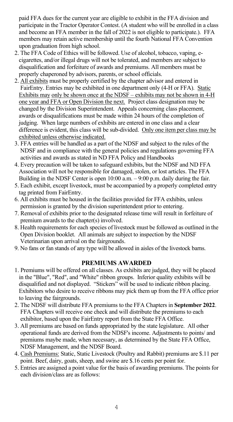paid FFA dues for the current year are eligible to exhibit in the FFA division and participate in the Tractor Operator Contest. (A student who will be enrolled in a class and become an FFA member in the fall of 2022 is not eligible to participate.). FFA members may retain active membership until the fourth National FFA Convention upon graduation from high school.

- 2. The FFA Code of Ethics will be followed. Use of alcohol, tobacco, vaping, e cigarettes, and/or illegal drugs will not be tolerated, and members are subject to disqualification and forfeiture of awards and premiums. All members must be properly chaperoned by advisors, parents, or school officials.
- 2. All exhibits must be properly certified by the chapter advisor and entered in FairEntry. Entries may be exhibited in one department only (4-H or FFA). Static Exhibits may only be shown once at the NDSF – exhibits may not be shown in 4-H one year and FFA or Open Division the next. Project class designation may be changed by the Division Superintendent. Appeals concerning class placement, awards or disqualifications must be made within 24 hours of the completion of judging. When large numbers of exhibits are entered in one class and a clear difference is evident, this class will be sub-divided. Only one item per class may be exhibited unless otherwise indicated.
- 3. FFA entries will be handled as a part of the NDSF and subject to the rules of the NDSF and in compliance with the general policies and regulations governing FFA activities and awards as stated in ND FFA Policy and Handbooks
- 4. Every precaution will be taken to safeguard exhibits, but the NDSF and ND FFA Association will not be responsible for damaged, stolen, or lost articles. The FFA Building in the NDSF Center is open 10:00 a.m. – 9:00 p.m. daily during the fair.
- 5. Each exhibit, except livestock, must be accompanied by a properly completed entry tag printed from FairEntry.
- 6. All exhibits must be housed in the facilities provided for FFA exhibits, unless permission is granted by the division superintendent prior to entering.
- 7. Removal of exhibits prior to the designated release time will result in forfeiture of premium awards to the chapter(s) involved.
- 8. Health requirements for each species of livestock must be followed as outlined in the Open Division booklet. All animals are subject to inspection by the NDSF Veterinarian upon arrival on the fairgrounds.
- 9. No fans or fan stands of any type will be allowed in aisles of the livestock barns.

#### **PREMIUMS AWARDED**

- 1. Premiums will be offered on all classes. As exhibits are judged, they will be placed in the "Blue", "Red", and "White" ribbon groups. Inferior quality exhibits will be disqualified and not displayed. "Stickers" will be used to indicate ribbon placing. Exhibitors who desire to receive ribbons may pick them up from the FFA office prior to leaving the fairgrounds.
- 2. The NDSF will distribute FFA premiums to the FFA Chapters in **September 2022**. FFA Chapters will receive one check and will distribute the premiums to each exhibitor, based upon the FairEntry report from the State FFA Office.
- 3. All premiums are based on funds appropriated by the state legislature. All other operational funds are derived from the NDSF's income. Adjustments to points/ and premiums maybe made, when necessary, as determined by the State FFA Office, NDSF Management, and the NDSF Board.
- 4. Cash Premiums: Static, Static Livestock (Poultry and Rabbit) premiums are \$.11 per point. Beef, dairy, goats, sheep, and swine are \$.16 cents per point for.
- 5. Entries are assigned a point value for the basis of awarding premiums. The points for each division/class are as follows: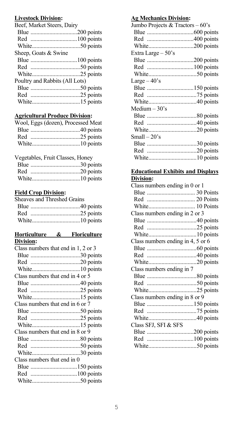# **Livestock Division:**

| Beef, Market Steers, Dairy     |  |
|--------------------------------|--|
|                                |  |
|                                |  |
|                                |  |
| Sheep, Goats & Swine           |  |
|                                |  |
|                                |  |
|                                |  |
| Poultry and Rabbits (All Lots) |  |
|                                |  |
|                                |  |
|                                |  |
|                                |  |

# **Agricultural Produce Division:**

| Wool, Eggs (dozen), Processed Meat |
|------------------------------------|
|                                    |
|                                    |
|                                    |

# Vegetables, Fruit Classes, Honey

#### **Field Crop Division:**

| Sheaves and Threshed Grains |  |
|-----------------------------|--|
|                             |  |
|                             |  |
|                             |  |
|                             |  |

#### **Horticulture & Floriculture Division:**

| Class numbers that end in 1, 2 or 3 |  |
|-------------------------------------|--|
|                                     |  |
| Red 20 points                       |  |
|                                     |  |
| Class numbers that end in 4 or 5    |  |
|                                     |  |
|                                     |  |
|                                     |  |
| Class numbers that end in 6 or 7    |  |
|                                     |  |
|                                     |  |
|                                     |  |
| Class numbers that end in 8 or 9    |  |
|                                     |  |
|                                     |  |
|                                     |  |
| Class numbers that end in 0         |  |
| Blue 150 points                     |  |
|                                     |  |
|                                     |  |
|                                     |  |

# **Ag Mechanics Division:**

| Jumbo Projects & Tractors $-60$ 's |  |
|------------------------------------|--|
|                                    |  |
|                                    |  |
|                                    |  |
| Extra Large - 50's                 |  |
|                                    |  |
|                                    |  |
|                                    |  |
| Large $-40$ 's                     |  |
|                                    |  |
|                                    |  |
|                                    |  |
| Medium $-30$ 's                    |  |
|                                    |  |
|                                    |  |
|                                    |  |
| Small $-20$ 's                     |  |
|                                    |  |
|                                    |  |
|                                    |  |
|                                    |  |

#### **Educational Exhibits and Displays Division:**

| Class numbers ending in $0$ or $1$ |  |
|------------------------------------|--|
|                                    |  |
| Red  20 Points                     |  |
|                                    |  |
| Class numbers ending in 2 or 3     |  |
|                                    |  |
|                                    |  |
|                                    |  |
| Class numbers ending in 4, 5 or 6  |  |
|                                    |  |
|                                    |  |
|                                    |  |
|                                    |  |
| Class numbers ending in 7          |  |
|                                    |  |
|                                    |  |
|                                    |  |
| Class numbers ending in 8 or 9     |  |
|                                    |  |
|                                    |  |
|                                    |  |
| Class SFJ, SFI & SFS               |  |
|                                    |  |
|                                    |  |
|                                    |  |
|                                    |  |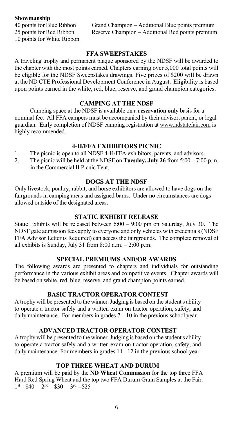**Showmanship**<br>40 points for Blue Ribbon 10 points for White Ribbon

40 points for Blue Ribbon Grand Champion – Additional Blue points premium<br>25 points for Red Ribbon Reserve Champion – Additional Red points premium Reserve Champion – Additional Red points premium

#### **FFA SWEEPSTAKES**

A traveling trophy and permanent plaque sponsored by the NDSF will be awarded to the chapter with the most points earned. Chapters earning over 5,000 total points will be eligible for the NDSF Sweepstakes drawings. Five prizes of \$200 will be drawn at the ND CTE Professional Development Conference in August. Eligibility is based upon points earned in the white, red, blue, reserve, and grand champion categories.

# **CAMPING AT THE NDSF**

Camping space at the NDSF is available on a **reservation only** basis for a nominal fee. All FFA campers must be accompanied by their advisor, parent, or legal guardian. Early completion of NDSF camping registration at www.ndstatefair.com is highly recommended.

#### **4-H/FFA EXHIBITORS PICNIC**

- 1. The picnic is open to all NDSF 4-H/FFA exhibitors, parents, and advisors.<br>2. The picnic will be held at the NDSF on **Tuesday. July 26** from 5:00 7:00
- The picnic will be held at the NDSF on **Tuesday, July 26** from  $5:00 7:00$  p.m. in the Commercial II Picnic Tent.

# **DOGS AT THE NDSF**

Only livestock, poultry, rabbit, and horse exhibitors are allowed to have dogs on the fairgrounds in camping areas and assigned barns. Under no circumstances are dogs allowed outside of the designated areas.

#### **STATIC EXHIBIT RELEASE**

Static Exhibits will be released between  $6:00 - 9:00$  pm on Saturday, July 30. The NDSF gate admission fees apply to everyone and only vehicles with credentials (NDSF FFA Advisor Letter is Required) can access the fairgrounds. The complete removal of all exhibits is Sunday, July 31 from  $8:00$  a.m.  $- 2:00$  p.m.

#### **SPECIAL PREMIUMS AND/OR AWARDS**

The following awards are presented to chapters and individuals for outstanding performance in the various exhibit areas and competitive events. Chapter awards will be based on white, red, blue, reserve, and grand champion points earned.

# **BASIC TRACTOR OPERATOR CONTEST**

A trophy will be presented to the winner.Judging is based on the student's ability to operate a tractor safely and a written exam on tractor operation, safety, and daily maintenance. For members in grades  $7 - 10$  in the previous school year.

# **ADVANCED TRACTOR OPERATOR CONTEST**

A trophy will be presented to the winner. Judging is based on the student's ability to operate a tractor safely and a written exam on tractor operation, safety, and daily maintenance. For members in grades 11 - 12 in the previous school year.

# **TOP THREE WHEAT AND DURUM**

A premium will be paid by the **ND Wheat Commission** for the top three FFA Hard Red Spring Wheat and the top two FFA Durum Grain Samples at the Fair.  $1<sup>st</sup> - $40$   $2<sup>nd</sup> - $30$   $3<sup>rd</sup> - $25$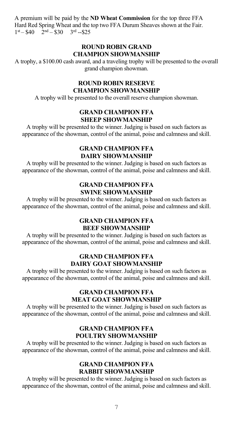A premium will be paid by the **ND Wheat Commission** for the top three FFA Hard Red Spring Wheat and the top two FFA Durum Sheaves shown at the Fair.  $1<sup>st</sup> - $40$   $2<sup>nd</sup> - $30$   $3<sup>rd</sup> - $25$ 

#### **ROUND ROBIN GRAND CHAMPION SHOWMANSHIP**

A trophy, a \$100.00 cash award, and a traveling trophy will be presented to the overall grand champion showman.

# **ROUND ROBIN RESERVE CHAMPION SHOWMANSHIP**

A trophy will be presented to the overall reserve champion showman.

#### **GRAND CHAMPION FFA SHEEP SHOWMANSHIP**

A trophy will be presented to the winner. Judging is based on such factors as appearance of the showman, control of the animal, poise and calmness and skill.

#### **GRAND CHAMPION FFA DAIRY SHOWMANSHIP**

A trophy will be presented to the winner. Judging is based on such factors as appearance of the showman, control of the animal, poise and calmness and skill.

# **GRAND CHAMPION FFA SWINE SHOWMANSHIP**

A trophy will be presented to the winner. Judging is based on such factors as appearance of the showman, control of the animal, poise and calmness and skill.

#### **GRAND CHAMPION FFA BEEF SHOWMANSHIP**

A trophy will be presented to the winner. Judging is based on such factors as appearance of the showman, control of the animal, poise and calmness and skill.

#### **GRAND CHAMPION FFA DAIRY GOAT SHOWMANSHIP**

A trophy will be presented to the winner. Judging is based on such factors as appearance of the showman, control of the animal, poise and calmness and skill.

# **GRAND CHAMPION FFA MEAT GOAT SHOWMANSHIP**

A trophy will be presented to the winner. Judging is based on such factors as appearance of the showman, control of the animal, poise and calmness and skill.

### **GRAND CHAMPION FFA POULTRY SHOWMANSHIP**

A trophy will be presented to the winner. Judging is based on such factors as appearance of the showman, control of the animal, poise and calmness and skill.

# **GRAND CHAMPION FFA RABBIT SHOWMANSHIP**

A trophy will be presented to the winner. Judging is based on such factors as appearance of the showman, control of the animal, poise and calmness and skill.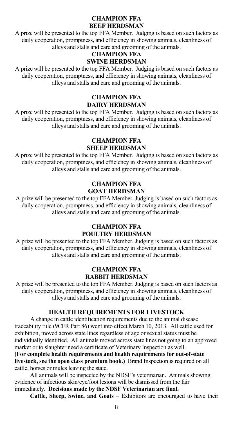#### **CHAMPION FFA BEEF HERDSMAN**

A prize will be presented to the top FFA Member.Judging is based on such factors as daily cooperation, promptness, and efficiency in showing animals, cleanliness of alleys and stalls and care and grooming of the animals.

# **CHAMPION FFA SWINE HERDSMAN**

A prize will be presented to the top FFA Member.Judging is based on such factors as daily cooperation, promptness, and efficiency in showing animals, cleanliness of alleys and stalls and care and grooming of the animals.

#### **CHAMPION FFA DAIRY HERDSMAN**

A prize will be presented to the top FFA Member.Judging is based on such factors as daily cooperation, promptness, and efficiency in showing animals, cleanliness of alleys and stalls and care and grooming of the animals.

#### **CHAMPION FFA SHEEP HERDSMAN**

A prize will be presented to the top FFA Member.Judging is based on such factors as daily cooperation, promptness, and efficiency in showing animals, cleanliness of alleys and stalls and care and grooming of the animals.

#### **CHAMPION FFA GOAT HERDSMAN**

A prize will be presented to the top FFA Member. Judging is based on such factors as daily cooperation, promptness, and efficiency in showing animals, cleanliness of alleys and stalls and care and grooming of the animals.

# **CHAMPION FFA**

### **POULTRY HERDSMAN**

A prize will be presented to the top FFA Member. Judging is based on such factors as daily cooperation, promptness, and efficiency in showing animals, cleanliness of alleys and stalls and care and grooming of the animals.

# **CHAMPION FFA RABBIT HERDSMAN**

A prize will be presented to the top FFA Member. Judging is based on such factors as daily cooperation, promptness, and efficiency in showing animals, cleanliness of alleys and stalls and care and grooming of the animals.

# **HEALTH REQUIREMENTS FOR LIVESTOCK**

A change in cattle identification requirements due to the animal disease traceability rule (9CFR Part 86) went into effect March 10, 2013. All cattle used for exhibition, moved across state lines regardless of age or sexual status must be individually identified. All animals moved across state lines not going to an approved market or to slaughter need a certificate of Veterinary Inspection as well. **(For complete health requirements and health requirements for out-of-state** 

**livestock, see the open class premium book.)** Brand Inspection is required on all cattle, horses or mules leaving the state.

 All animals will be inspected by the NDSF's veterinarian. Animals showing evidence of infectious skin/eye/foot lesions will be dismissed from the fair immediately**. Decisions made by the NDSF Veterinarian are final.**

 **Cattle, Sheep, Swine, and Goats** – Exhibitors are encouraged to have their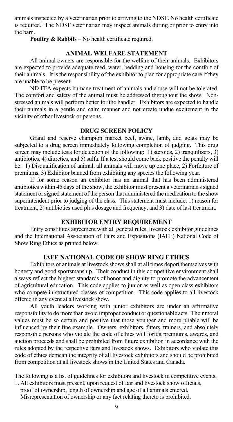animals inspected by a veterinarian prior to arriving to the NDSF. No health certificate is required. The NDSF veterinarian may inspect animals during or prior to entry into the barn.

**Poultry & Rabbits** – No health certificate required.

#### **ANIMAL WELFARE STATEMENT**

All animal owners are responsible for the welfare of their animals. Exhibitors are expected to provide adequate feed, water, bedding and housing for the comfort of their animals. It is the responsibility of the exhibitor to plan for appropriate care if they are unable to be present.

ND FFA expects humane treatment of animals and abuse will not be tolerated. The comfort and safety of the animal must be addressed throughout the show. Nonstressed animals will perform better for the handler. Exhibitors are expected to handle their animals in a gentle and calm manner and not create undue excitement in the vicinity of other livestock or persons.

#### **DRUG SCREEN POLICY**

Grand and reserve champion market beef, swine, lamb, and goats may be subjected to a drug screen immediately following completion of judging. This drug screen may include tests for detection of the following:  $\overline{1}$ ) steroids, 2) tranquilizers,  $\overline{3}$ ) antibiotics, 4) diuretics, and 5) sulfa. If a test should come back positive the penalty will be: 1) Disqualification of animal, all animals will move up one place, 2) Forfeiture of premiums, 3) Exhibitor banned from exhibiting any species the following year.

If for some reason an exhibitor has an animal that has been administered antibiotics within 45 days of the show, the exhibitor must present a veterinarian's signed statement or signed statement of the person that administered the medication to the show superintendent prior to judging of the class. This statement must include: 1) reason for treatment, 2) antibiotics used plus dosage and frequency, and 3) date of last treatment.

#### **EXHIBITOR ENTRY REQUIREMENT**

Entry constitutes agreement with all general rules, livestock exhibitor guidelines and the International Association of Fairs and Expositions (IAFE) National Code of Show Ring Ethics as printed below.

#### **IAFE NATIONAL CODE OF SHOW RING ETHICS**

Exhibitors of animals at livestock shows shall at all times deport themselves with honesty and good sportsmanship. Their conduct in this competitive environment shall always reflect the highest standards of honor and dignity to promote the advancement of agricultural education. This code applies to junior as well as open class exhibitors who compete in structured classes of competition. This code applies to all livestock offered in any event at a livestock show.

All youth leaders working with junior exhibitors are under an affirmative responsibility to do more than avoid improper conduct or questionable acts. Their moral values must be so certain and positive that those younger and more pliable will be influenced by their fine example. Owners, exhibitors, fitters, trainers, and absolutely responsible persons who violate the code of ethics will forfeit premiums, awards, and auction proceeds and shall be prohibited from future exhibition in accordance with the rules adopted by the respective fairs and livestock shows. Exhibitors who violate this code of ethics demean the integrity of all livestock exhibitors and should be prohibited from competition at all livestock shows in the United States and Canada.

The following is a list of guidelines for exhibitors and livestock in competitive events.

1. All exhibitors must present, upon request of fair and livestock show officials, proof of ownership, length of ownership and age of all animals entered. Misrepresentation of ownership or any fact relating thereto is prohibited.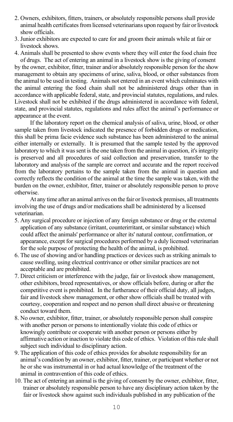- 2. Owners, exhibitors, fitters, trainers, or absolutely responsible persons shall provide animal health certificates from licensed veterinarians upon request by fair or livestock show officials.
- 3. Junior exhibitors are expected to care for and groom their animals while at fair or livestock shows.
- 4. Animals shall be presented to show events where they will enter the food chain free of drugs. The act of entering an animal in a livestock show is the giving of consent

by the owner, exhibitor, fitter, trainer and/or absolutely responsible person for the show management to obtain any specimens of urine, saliva, blood, or other substances from the animal to be used in testing. Animals not entered in an event which culminates with the animal entering the food chain shall not be administered drugs other than in accordance with applicable federal, state, and provincial statutes, regulations, and rules. Livestock shall not be exhibited if the drugs administered in accordance with federal, state, and provincial statutes, regulations and rules affect the animal's performance or appearance at the event.

If the laboratory report on the chemical analysis of saliva, urine, blood, or other sample taken from livestock indicated the presence of forbidden drugs or medication, this shall be prima facie evidence such substance has been administered to the animal either internally or externally. It is presumed that the sample tested by the approved laboratory to which it was sent is the one taken from the animal in question, it's integrity is preserved and all procedures of said collection and preservation, transfer to the laboratory and analysis of the sample are correct and accurate and the report received from the laboratory pertains to the sample taken from the animal in question and correctly reflects the condition of the animal at the time the sample was taken, with the burden on the owner, exhibitor, fitter, trainer or absolutely responsible person to prove otherwise.

At any time after an animal arrives on the fair or livestock premises, all treatments involving the use of drugs and/or medications shall be administered by a licensed veterinarian.

- 5. Any surgical procedure or injection of any foreign substance or drug or the external application of any substance (irritant, counterirritant, or similar substance) which could affect the animals' performance or alter its' natural contour, confirmation, or appearance, except for surgical procedures performed by a duly licensed veterinarian for the sole purpose of protecting the health of the animal, is prohibited.
- 6. The use of showing and/or handling practices or devices such as striking animals to cause swelling, using electrical contrivance or other similar practices are not acceptable and are prohibited.
- 7. Direct criticism or interference with the judge, fair or livestock show management, other exhibitors, breed representatives, or show officials before, during or after the competitive event is prohibited. In the furtherance of their official duty, all judges, fair and livestock show management, or other show officials shall be treated with courtesy, cooperation and respect and no person shall direct abusive or threatening conduct toward them.
- 8. No owner, exhibitor, fitter, trainer, or absolutely responsible person shall conspire with another person or persons to intentionally violate this code of ethics or knowingly contribute or cooperate with another person or persons either by affirmative action or inaction to violate this code of ethics. Violation of this rule shall subject such individual to disciplinary action.
- 9. The application of this code of ethics provides for absolute responsibility for an animal's condition by an owner, exhibitor, fitter, trainer, or participant whether or not he or she was instrumental in or had actual knowledge of the treatment of the animal in contravention of this code of ethics.
- 10. The act of entering an animal is the giving of consent by the owner, exhibitor, fitter, trainer or absolutely responsible person to have any disciplinary action taken by the fair or livestock show against such individuals published in any publication of the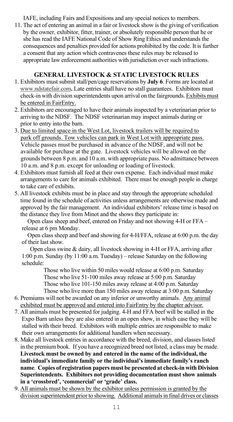IAFE, including Fairs and Expositions and any special notices to members.

11. The act of entering an animal in a fair or livestock show is the giving of verification by the owner, exhibitor, fitter, trainer, or absolutely responsible person that he or she has read the IAFE National Code of Show Ring Ethics and understands the consequences and penalties provided for actions prohibited by the code. It is further a consent that any action which contravenes these rules may be released to appropriate law enforcement authorities with jurisdiction over such infractions.

# **GENERAL LIVESTOCK & STATIC LIVESTOCK RULES**

- 1. Exhibitors must submit stall/pen/cage reservations by **July 6**. Forms are located at www.ndstatefair.com**.** Late entries shall have no stall guarantees. Exhibitors must check-in with division superintendents upon arrival on the fairgrounds. Exhibits must be entered in FairEntry.
- 2. Exhibitors are encouraged to have their animals inspected by a veterinarian prior to arriving to the NDSF. The NDSF veterinarian may inspect animals during or prior to entry into the barn.
- 3. Due to limited space in the West Lot, livestock trailers will be required to park off grounds. Tow vehicles can park in West Lot with appropriate pass. Vehicle passes must be purchased in advance of the NDSF, and will not be available for purchase at the gate. Livestock vehicles will be allowed on the grounds between 8 p.m. and 10 a.m. with appropriate pass. No admittance between 10 a.m. and 8 p.m. except for unloading or loading of livestock.
- 4. Exhibitors must furnish all feed at their own expense. Each individual must make arrangements to care for animals exhibited. There must be enough people in charge to take care of exhibits.
- 5. All livestock exhibits must be in place and stay through the appropriate scheduled time found in the schedule of activities unless arrangements are otherwise made and approved by the fair management. An individual exhibitors' release time is based on the distance they live from Minot and the shows they participate in:

 Open class sheep and beef, entered on Friday and not showing 4-H or FFA – release at 6 pm Monday.

 Open class sheep and beef and showing for 4-H/FFA, release at 6:00 p.m. the day of their last show.

Open class swine & dairy, all livestock showing in 4-H or FFA, arriving after 1:00 p.m. Sunday (by 11:00 a.m. Tuesday) – release Saturday on the following schedule:

Those who live within 50 miles would release at 6:00 p.m. Saturday Those who live 51-100 miles away release at 5:00 p.m. Saturday Those who live 101-150 miles away release at 4:00 p.m. Saturday Those who live more than 150 miles away release at 3:00 p.m. Saturday

- 6. Premiums will not be awarded on any inferior or unworthy animals. Any animal exhibited must be approved and entered into FairEntry by the chapter advisor.
- 7. All animals must be presented for judging. 4-H and FFA beef will be stalled in the Expo Barn unless they are also entered in an open show, in which case they will be stalled with their breed. Exhibitors with multiple entries are responsible to make their own arrangements for additional handlers when necessary.
- 8. Make all livestock entries in accordance with the breed, division, and classes listed in the premium book. If you have a recognized breed not listed, a class may be made. **Livestock must be owned by and entered in the name of the individual, the individual's immediate family or the individual's immediate family's ranch name**. **Copies of registration papers must be presented at check-in with Division Superintendents. Exhibitors not providing documentation must show animals in a 'crossbred', 'commercial' or 'grade' class.**
- 9. All animals must be shown by the exhibitor unless permission is granted by the division superintendent prior to showing. Additional animals in final drives or classes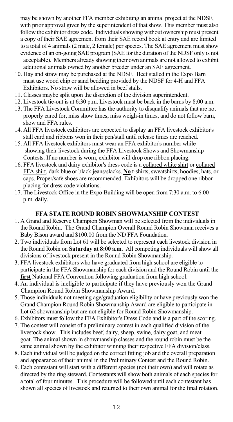may be shown by another FFA member exhibiting an animal project at the NDSF, with prior approval given by the superintendent of that show. This member must also follow the exhibitor dress code. Individuals showing without ownership must present a copy of their SAE agreement from their SAE record book at entry and are limited to a total of 4 animals (2 male, 2 female) per species. The SAE agreement must show evidence of an on-going SAE program (SAE for the duration of the NDSF only is not acceptable). Members already showing their own animals are not allowed to exhibit additional animals owned by another breeder under an SAE agreement.

- 10. Hay and straw may be purchased at the NDSF. Beef stalled in the Expo Barn must use wood chip or sand bedding provided by the NDSF for 4-H and FFA Exhibitors. No straw will be allowed in beef stalls.
- 11. Classes maybe split upon the discretion of the division superintendent.
- 12. Livestock tie-out is at 6:30 p.m. Livestock must be back in the barns by 8:00 a.m.
- 13. The FFA Livestock Committee has the authority to disqualify animals that are not properly cared for, miss show times, miss weigh-in times, and do not follow barn, show and FFA rules.
- 14. All FFA livestock exhibitors are expected to display an FFA livestock exhibitor's stall card and ribbons won in their pen/stall until release times are reached.
- 15. All FFA livestock exhibitors must wear an FFA exhibitor's number while showing their livestock during the FFA Livestock Shows and Showmanship Contests. If no number is worn, exhibitor will drop one ribbon placing.
- 16. FFA livestock and dairy exhibitor's dress code is a collared white shirt or collared FFA shirt, dark blue or black jeans/slacks. **No** t-shirts, sweatshirts, hoodies, hats, or caps. Proper/safe shoes are recommended. Exhibitors will be dropped one ribbon placing for dress code violations.
- 17. The Livestock Office in the Expo Building will be open from 7:30 a.m. to 6:00 p.m. daily.

#### **FFA STATE ROUND ROBIN SHOWMANSHIP CONTEST**

- 1. A Grand and Reserve Champion Showman will be selected from the individuals in the Round Robin. The Grand Champion Overall Round Robin Showman receives a Baby Bison award and \$100.00 from the ND FFA Foundation.
- 2. Two individuals from Lot 61 will be selected to represent each livestock division in the Round Robin on **Saturday at 8:00 a.m.** All competing individuals will show all divisions of livestock present in the Round Robin Showmanship.
- 3. FFA livestock exhibitors who have graduated from high school are eligible to participate in the FFA Showmanship for each division and the Round Robin until the **first** National FFA Convention following graduation from high school.
- 4. An individual is ineligible to participate if they have previously won the Grand Champion Round Robin Showmanship Award.
- 5. Those individuals not meeting age/graduation eligibility or have previously won the Grand Champion Round Robin Showmanship Award are eligible to participate in Lot 62 showmanship but are not eligible for Round Robin Showmanship.
- 6. Exhibitors must follow the FFA Exhibitor's Dress Code and is a part of the scoring.
- 7. The contest will consist of a preliminary contest in each qualified division of the livestock show. This includes beef, dairy, sheep, swine, dairy goat, and meat goat. The animal shown in showmanship classes and the round robin must be the same animal shown by the exhibitor winning their respective FFA division/class.
- 8. Each individual will be judged on the correct fitting job and the overall preparation and appearance of their animal in the Preliminary Contest and the Round Robin.
- 9. Each contestant will start with a different species (not their own) and will rotate as directed by the ring steward. Contestants will show both animals of each species for a total of four minutes. This procedure will be followed until each contestant has shown all species of livestock and returned to their own animal for the final rotation.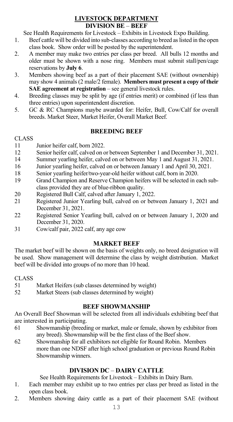#### **LIVESTOCK DEPARTMENT DIVISION BE** – **BEEF**

See Health Requirements for Livestock – Exhibits in Livestock Expo Building.

- 1. Beef cattle will be divided into sub-classes according to breed as listed in the open class book. Show order will be posted by the superintendent.
- 2. A member may make two entries per class per breed. All bulls 12 months and older must be shown with a nose ring. Members must submit stall/pen/cage reservations by **July 6**.
- 3. Members showing beef as a part of their placement SAE (without ownership) may show 4 animals (2 male/2 female). **Members must present a copy of their SAE agreement at registration** – see general livestock rules.
- 4. Breeding classes may be split by age (if entries merit) or combined (if less than three entries) upon superintendent discretion.
- 5. GC & RC Champions maybe awarded for: Heifer, Bull, Cow/Calf for overall breeds. Market Steer, Market Heifer, Overall Market Beef.

# **BREEDING BEEF**

#### CLASS

- 11 Junior heifer calf, born 2022.
- 12 Senior heifer calf, calved on or between September 1 and December 31, 2021.
- Summer yearling heifer, calved on or between May 1 and August 31, 2021.
- 16 Junior yearling heifer, calved on or between January 1 and April 30, 2021.<br>18 Senior vearling heifer/two-year-old heifer without calf horn in 2020
- Senior yearling heifer/two-year-old heifer without calf, born in 2020.
- 19 Grand Champion and Reserve Champion heifers will be selected in each subclass provided they are of blue-ribbon quality.
- 20 Registered Bull Calf, calved after January 1, 2022.<br>21 Registered Junior Yearling bull, calved on or bet
- Registered Junior Yearling bull, calved on or between January 1, 2021 and December 31, 2021.
- 22 Registered Senior Yearling bull, calved on or between January 1, 2020 and December 31, 2020.
- 31 Cow/calf pair, 2022 calf, any age cow

# **MARKET BEEF**

The market beef will be shown on the basis of weights only, no breed designation will be used. Show management will determine the class by weight distribution. Market beef will be divided into groups of no more than 10 head.

#### CLASS

- 51 Market Heifers (sub classes determined by weight)
- 52 Market Steers (sub classes determined by weight)

### **BEEF SHOWMANSHIP**

An Overall Beef Showman will be selected from all individuals exhibiting beef that are interested in participating.

- 61 Showmanship (breeding or market, male or female, shown by exhibitor from any breed). Showmanship will be the first class of the Beef show.
- 62 Showmanship for all exhibitors not eligible for Round Robin. Members more than one NDSF after high school graduation or previous Round Robin Showmanship winners.

# **DIVISION DC** – **DAIRY CATTLE**

See Health Requirements for Livestock – Exhibits in Dairy Barn.

- 1. Each member may exhibit up to two entries per class per breed as listed in the open class book.
- 2. Members showing dairy cattle as a part of their placement SAE (without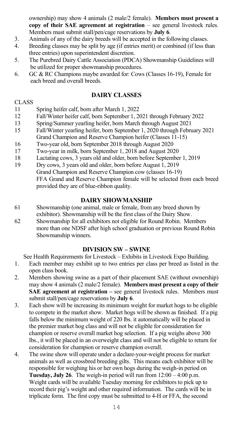ownership) may show 4 animals (2 male/2 female). **Members must present a copy of their SAE agreement at registration** – see general livestock rules. Members must submit stall/pen/cage reservations by **July 6**.

- 3. Animals of any of the dairy breeds will be accepted in the following classes.
- 4. Breeding classes may be split by age (if entries merit) or combined (if less than three entries) upon superintendent discretion.<br>5. The Purebred Dairy Cattle Association (PDC)
- The Purebred Dairy Cattle Association (PDCA) Showmanship Guidelines will be utilized for proper showmanship procedures.<br>6. GC & RC Champions maybe awarded for: Cows
- GC & RC Champions maybe awarded for: Cows (Classes 16-19), Female for each breed and overall breeds.

# **DAIRY CLASSES**

#### CLASS

- 11 Spring heifer calf, born after March 1, 2022
- 12 Fall/Winter heifer calf, born September 1, 2021 through February 2022<br>13 Spring/Summer yearling heifer, born March through August 2021
- 13 Spring/Summer yearling heifer, born March through August 2021
- 15 Fall/Winter yearling heifer, born September 1, 2020 through February 2021
- Grand Champion and Reserve Champion heifer (Classes 11-15)
- 16 Two-year old, born September 2018 through August 2020
- 17 Two-year in milk, born September 1, 2018 and August 2020
- 18 Lactating cows, 3 years old and older, born before September 1, 2019
- 19 Dry cows, 3 years old and older, born before August 1, 2019 Grand Champion and Reserve Champion cow (classes 16-19) FFA Grand and Reserve Champion female will be selected from each breed provided they are of blue-ribbon quality.

#### **DAIRY SHOWMANSHIP**

- 61 Showmanship (one animal, male or female, from any breed shown by exhibitor). Showmanship will be the first class of the Dairy Show.
- 62 Showmanship for all exhibitors not eligible for Round Robin. Members more than one NDSF after high school graduation or previous Round Robin Showmanship winners.

#### **DIVISION SW – SWINE**

See Health Requirements for Livestock – Exhibits in Livestock Expo Building.

- 1. Each member may exhibit up to two entries per class per breed as listed in the open class book.
- 2. Members showing swine as a part of their placement SAE (without ownership) may show 4 animals (2 male/2 female). **Members must present a copy of their SAE agreement at registration –** see general livestock rules. Members must submit stall/pen/cage reservations by **July 6**.
- 3. Each show will be increasing its minimum weight for market hogs to be eligible to compete in the market show. Market hogs will be shown as finished. If a pig falls below the minimum weight of 220 lbs. it automatically will be placed in the premier market hog class and will not be eligible for consideration for champion or reserve overall market hog selection. If a pig weighs above 300 lbs., it will be placed in an overweight class and will not be eligible to return for consideration for champion or reserve champion overall.
- 4. The swine show will operate under a declare-your-weight process for market animals as well as crossbred breeding gilts. This means each exhibitor will be responsible for weighing his or her own hogs during the weigh-in period on **Tuesday, July 26**. The weigh-in period will run from 12:00 – 4:00 p.m. Weight cards will be available Tuesday morning for exhibitors to pick up to record their pig's weight and other required information. The cards will be in triplicate form. The first copy must be submitted to 4-H or FFA, the second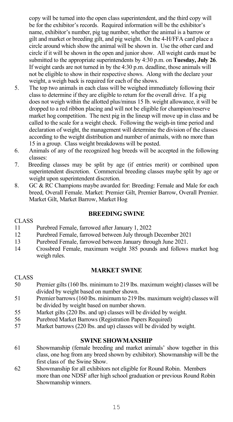copy will be turned into the open class superintendent, and the third copy will be for the exhibitor's records. Required information will be the exhibitor's name, exhibitor's number, pig tag number, whether the animal is a barrow or gilt and market or breeding gilt, and pig weight. On the 4-H/FFA card place a circle around which show the animal will be shown in. Use the other card and circle if it will be shown in the open and junior show. All weight cards must be submitted to the appropriate superintendents by 4:30 p.m. on **Tuesday, July 26**. If weight cards are not turned in by the 4:30 p.m. deadline, those animals will not be eligible to show in their respective shows. Along with the declare your weight, a weigh back is required for each of the shows.

- 5. The top two animals in each class will be weighed immediately following their class to determine if they are eligible to return for the overall drive. If a pig does not weigh within the allotted plus/minus 15 lb. weight allowance, it will be dropped to a red ribbon placing and will not be eligible for champion/reserve market hog competition. The next pig in the lineup will move up in class and be called to the scale for a weight check. Following the weigh-in time period and declaration of weight, the management will determine the division of the classes according to the weight distribution and number of animals, with no more than 15 in a group. Class weight breakdowns will be posted.
- 6. Animals of any of the recognized hog breeds will be accepted in the following classes:
- 7. Breeding classes may be split by age (if entries merit) or combined upon superintendent discretion. Commercial breeding classes maybe split by age or weight upon superintendent discretion.
- 8. GC & RC Champions maybe awarded for: Breeding: Female and Male for each breed, Overall Female. Market: Premier Gilt, Premier Barrow, Overall Premier. Market Gilt, Market Barrow, Market Hog

#### **BREEDING SWINE**

#### CLASS

- 11 Purebred Female, farrowed after January 1, 2022
- 12 Purebred Female, farrowed between July through December 2021
- 13 Purebred Female, farrowed between January through June 2021.<br>14 Crossbred Female, maximum weight 385 pounds and follows
- 14 Crossbred Female, maximum weight 385 pounds and follows market hog weigh rules.

# **MARKET SWINE**

#### CLASS 50 Premier gilts (160 lbs. minimum to 219 lbs. maximum weight) classes will be divided by weight based on number shown.

- 51 Premier barrows(160 lbs. minimum to 219 lbs. maximum weight) classes will be divided by weight based on number shown.
- 55 Market gilts (220 lbs. and up) classes will be divided by weight.
- 56 Purebred Market Barrows (Registration Papers Required)
- Market barrows (220 lbs. and up) classes will be divided by weight.

# **SWINE SHOWMANSHIP**

- 61 Showmanship (female breeding and market animals' show together in this class, one hog from any breed shown by exhibitor). Showmanship will be the first class of the Swine Show.
- 62 Showmanship for all exhibitors not eligible for Round Robin. Members more than one NDSF after high school graduation or previous Round Robin Showmanship winners.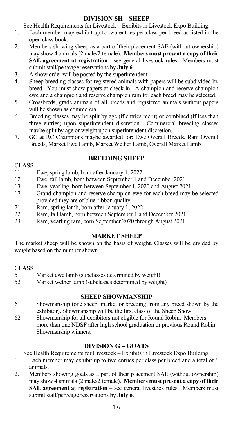# **DIVISION SH – SHEEP**

See Health Requirements for Livestock – Exhibits in Livestock Expo Building.

- 1. Each member may exhibit up to two entries per class per breed as listed in the open class book.
- 2. Members showing sheep as a part of their placement SAE (without ownership) may show 4 animals (2 male/2 female). **Members must present a copy of their SAE agreement at registration** - see general livestock rules. Members must submit stall/pen/cage reservations by **July 6**.
- 3. A show order will be posted by the superintendent.<br>4 Sheep breeding classes for registered animals with
- Sheep breeding classes for registered animals with papers will be subdivided by breed. You must show papers at check-in. A champion and reserve champion ewe and a champion and reserve champion ram for each breed may be selected.
- 5. Crossbreds, grade animals of all breeds and registered animals without papers will be shown as commercial.
- 6. Breeding classes may be split by age (if entries merit) or combined (if less than three entries) upon superintendent discretion. Commercial breeding classes maybe split by age or weight upon superintendent discretion.
- 7. GC & RC Champions maybe awarded for: Ewe Overall Breeds, Ram Overall Breeds, Market Ewe Lamb, Market Wether Lamb, Overall Market Lamb

# **BREEDING SHEEP**

#### **CLASS**

- 11 Ewe, spring lamb, born after January 1, 2022.<br>12 Ewe, fall lamb, born between Sentember 1 and
- Ewe, fall lamb, born between September 1 and December 2021.
- 13 Ewe, yearling, born between September 1, 2020 and August 2021.
- Grand champion and reserve champion ewe for each breed may be selected provided they are of blue-ribbon quality.
- 21 Ram, spring lamb, born after January 1, 2022.
- 22 Ram, fall lamb, born between September 1 and December 2021.<br>23 Ram vearling ram born September 2020 through August 2021
- 23 Ram, yearling ram, born September 2020 through August 2021.

### **MARKET SHEEP**

The market sheep will be shown on the basis of weight. Classes will be divided by weight based on the number shown.

#### **CLASS**

- 51 Market ewe lamb (subclasses determined by weight)<br>52 Market wether lamb (subclasses determined by weight)
- Market wether lamb (subclasses determined by weight)

# **SHEEP SHOWMANSHIP**

- 61 Showmanship (one sheep, market or breeding from any breed shown by the exhibitor). Showmanship will be the first class of the Sheep Show.
- 62 Showmanship for all exhibitors not eligible for Round Robin. Members more than one NDSF after high school graduation or previous Round Robin Showmanship winners.

# **DIVISION G – GOATS**

See Health Requirements for Livestock – Exhibits in Livestock Expo Building.

- 1. Each member may exhibit up to two entries per class per breed and a total of 6 animals.
- 2. Members showing goats as a part of their placement SAE (without ownership) may show 4 animals (2 male/2 female). **Members must present a copy of their SAE agreement at registration** – see general livestock rules. Members must submit stall/pen/cage reservations by **July 6**.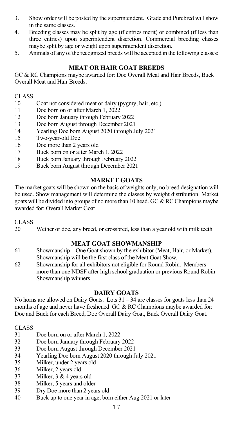- 3. Show order will be posted by the superintendent. Grade and Purebred will show in the same classes.
- 4. Breeding classes may be split by age (if entries merit) or combined (if less than three entries) upon superintendent discretion. Commercial breeding classes maybe split by age or weight upon superintendent discretion.
- 5. Animals of any of the recognized breeds will be accepted in the following classes:

# **MEAT OR HAIR GOAT BREEDS**

GC & RC Champions maybe awarded for: Doe Overall Meat and Hair Breeds, Buck Overall Meat and Hair Breeds.

#### CLASS

- 10 Goat not considered meat or dairy (pygmy, hair, etc.)
- 11 Doe born on or after March 1, 2022<br>12 Doe born January through February
- 12 Doe born January through February 2022
- 13 Doe born August through December 2021
- 14 Yearling Doe born August 2020 through July 2021
- 15 Two-year-old Doe
- 16 Doe more than 2 years old
- 17 Buck born on or after March 1, 2022
- 18 Buck born January through February 2022
- 19 Buck born August through December 2021

#### **MARKET GOATS**

The market goats will be shown on the basis of weights only, no breed designation will be used. Show management will determine the classes by weight distribution. Market goats will be divided into groups of no more than 10 head. GC  $\& RC$  Champions maybe awarded for: Overall Market Goat

#### CLASS

20 Wether or doe, any breed, or crossbred, less than a year old with milk teeth.

# **MEAT GOAT SHOWMANSHIP**

- 61 Showmanship One Goat shown by the exhibitor (Meat, Hair, or Market). Showmanship will be the first class of the Meat Goat Show.
- 62 Showmanship for all exhibitors not eligible for Round Robin. Members more than one NDSF after high school graduation or previous Round Robin Showmanship winners.

# **DAIRY GOATS**

No horns are allowed on Dairy Goats. Lots 31 – 34 are classes for goats less than 24 months of age and never have freshened. GC & RC Champions maybe awarded for: Doe and Buck for each Breed, Doe Overall Dairy Goat, Buck Overall Dairy Goat.

- Doe born on or after March 1, 2022
- 32 Doe born January through February 2022
- 33 Doe born August through December 2021
- 34 Yearling Doe born August 2020 through July 2021
- Milker, under 2 years old
- 36 Milker, 2 years old<br>37 Milker, 3 & 4 years
- Milker, 3 & 4 years old
- 38 Milker, 5 years and older<br>39 Dry Doe more than 2 year
- Dry Doe more than 2 years old
- 40 Buck up to one year in age, born either Aug 2021 or later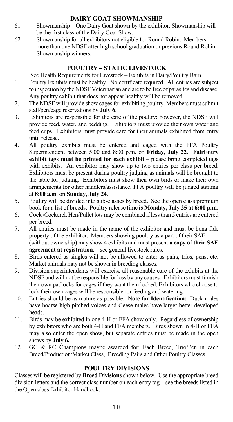# **DAIRY GOAT SHOWMANSHIP**

- 61 Showmanship One Dairy Goat shown by the exhibitor. Showmanship will be the first class of the Dairy Goat Show.
- 62 Showmanship for all exhibitors not eligible for Round Robin. Members more than one NDSF after high school graduation or previous Round Robin Showmanship winners.

# **POULTRY – STATIC LIVESTOCK**

See Health Requirements for Livestock – Exhibits in Dairy/Poultry Barn.

- 1. Poultry Exhibits must be healthy. No certificate required. All entries are subject to inspection by the NDSF Veterinarian and are to be free of parasites and disease. Any poultry exhibit that does not appear healthy will be removed.
- 2. The NDSF will provide show cages for exhibiting poultry. Members must submit stall/pen/cage reservations by **July 6**.
- 3. Exhibitors are responsible for the care of the poultry: however, the NDSF will provide feed, water, and bedding. Exhibitors must provide their own water and feed cups. Exhibitors must provide care for their animals exhibited from entry until release.
- 4. All poultry exhibits must be entered and caged with the FFA Poultry Superintendent between 5:00 and 8:00 p.m. on **Friday, July 22. FairEntry exhibit tags must be printed for each exhibit** – please bring completed tags with exhibits. An exhibitor may show up to two entries per class per breed. Exhibitors must be present during poultry judging as animals will be brought to the table for judging. Exhibitors must show their own birds or make their own arrangements for other handlers/assistance. FFA poultry will be judged starting at **8:00 a.m**. on **Sunday, July 24**.
- 5. Poultry will be divided into sub-classes by breed. See the open class premium book for a list of breeds. Poultry release time **is Monday, July 25 at 6:00 p.m**.
- 6. Cock /Cockerel, Hen/Pullet lots may be combined if less than 5 entries are entered per breed.
- 7. All entries must be made in the name of the exhibitor and must be bona fide property of the exhibitor. Members showing poultry as a part of their SAE (without ownership) may show 4 exhibits and must present **a copy of their SAE agreement at registration**. – see general livestock rules.
- 8. Birds entered as singles will not be allowed to enter as pairs, trios, pens, etc. Market animals may not be shown in breeding classes.
- 9. Division superintendents will exercise all reasonable care of the exhibits at the NDSF and will not be responsible for loss by any causes. Exhibitors must furnish their own padlocks for cages if they want them locked. Exhibitors who choose to lock their own cages will be responsible for feeding and watering.
- 10. Entries should be as mature as possible. **Note for Identification:** Duck males have hoarse high-pitched voices and Geese males have larger better developed heads.
- 11. Birds may be exhibited in one 4-H or FFA show only. Regardless of ownership by exhibitors who are both 4-H and FFA members. Birds shown in 4-H or FFA may also enter the open show, but separate entries must be made in the open shows by **July 6.**
- 12. GC & RC Champions maybe awarded for: Each Breed, Trio/Pen in each Breed/Production/Market Class, Breeding Pairs and Other Poultry Classes.

### **POULTRY DIVISIONS**

Classes will be registered by **Breed Divisions** shown below. Use the appropriate breed division letters and the correct class number on each entry tag – see the breeds listed in the Open class Exhibitor Handbook.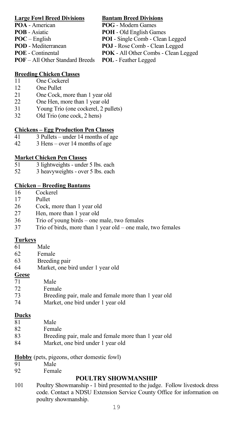#### **Large Fowl Breed Divisions Bantam Breed Divisions**

- 
- 
- 
- 
- 
- **POF** All Other Standard Breeds

- **POA** American **POG** Modern Games<br> **POB** Asiatic **POH** Old English Ga
	- **POH** Old English Games
- **POC** English **POI** Single Comb Clean Legged<br> **POD** Mediterranean **POJ** Rose Comb Clean Legged
- **POD** Mediterranean **POJ** Rose Comb Clean Legged<br> **POE** Continental **POK** All Other Combs Clean L
	- **POK** All Other Combs Clean Legged<br>**POL** Feather Legged
	-

#### **Breeding Chicken Classes**

- 11 One Cockerel<br>12 One Pullet
- **One Pullet**
- 21 One Cock, more than 1 year old
- 22 One Hen, more than 1 year old
- 31 Young Trio (one cockerel, 2 pullets)<br>32 Old Trio (one cock. 2 hens)
- Old Trio (one cock, 2 hens)

### **Chickens – Egg Production Pen Classes**

- 41 3 Pullets under 14 months of age<br>42 3 Hens over 14 months of age
- $3$  Hens over 14 months of age

### **Market Chicken Pen Classes**

- 51 3 lightweights under 5 lbs. each<br>52 3 heavyweights over 5 lbs. each
- 3 heavyweights over 5 lbs. each

### **Chicken – Breeding Bantams**

- 16 Cockerel<br>17 Pullet
- Pullet
- 26 Cock, more than 1 year old
- 27 Hen, more than 1 year old
- 36 Trio of young birds one male, two females<br>37 Trio of birds, more than 1 year old one mal
- Trio of birds, more than 1 year old one male, two females

### **Turkeys**

- 61 Male
- 62 Female<br>63 Breedin
- Breeding pair
- 64 Market, one bird under 1 year old

# **Geese**

| 71 | Male                                                |
|----|-----------------------------------------------------|
| 72 | Female                                              |
| 73 | Breeding pair, male and female more than 1 year old |
| 74 | Market, one bird under 1 year old                   |

### **Ducks**

- 81 Male
- 82 Female
- 83 Breeding pair, male and female more than 1 year old
- 84 Market, one bird under 1 year old

### **Hobby** (pets, pigeons, other domestic fowl)

- 91 Male
- 92 Female

# **POULTRY SHOWMANSHIP**

101 Poultry Showmanship - 1 bird presented to the judge. Follow livestock dress code. Contact a NDSU Extension Service County Office for information on poultry showmanship.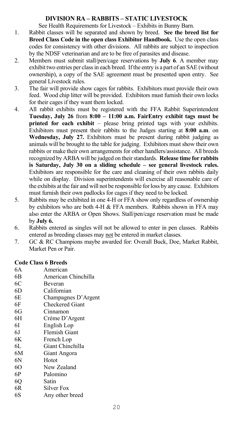### **DIVISION RA – RABBITS – STATIC LIVESTOCK**

See Health Requirements for Livestock – Exhibits in Bunny Barn.

- 1. Rabbit classes will be separated and shown by breed. **See the breed list for Breed Class Code in the open class Exhibitor Handbook.** Use the open class codes for consistency with other divisions. All rabbits are subject to inspection by the NDSF veterinarian and are to be free of parasites and disease.
- 2. Members must submit stall/pen/cage reservations by **July 6**. A member may exhibit two entries per classin each breed. If the entry is a part of an SAE (without ownership), a copy of the SAE agreement must be presented upon entry. See general Livestock rules.
- 3. The fair will provide show cages for rabbits. Exhibitors must provide their own feed. Wood chip litter will be provided. Exhibitors must furnish their own locks for their cages if they want them locked.
- 4. All rabbit exhibits must be registered with the FFA Rabbit Superintendent **Tuesday, July 26** from **8:00 – 11:00 a.m. FairEntry exhibit tags must be printed for each exhibit** – please bring printed tags with your exhibits. Exhibitors must present their rabbits to the Judges starting at **8:00 a.m**. on **Wednesday, July 27.** Exhibitors must be present during rabbit judging as animals will be brought to the table for judging. Exhibitors must show their own rabbits or make their own arrangements for other handlers/assistance. All breeds recognized by ARBA will be judged on their standards. **Release time for rabbits is Saturday, July 30 on a sliding schedule – see general livestock rules.**  Exhibitors are responsible for the care and cleaning of their own rabbits daily while on display. Division superintendents will exercise all reasonable care of the exhibits at the fair and will not be responsible for loss by any cause. Exhibitors must furnish their own padlocks for cages if they need to be locked.
- 5. Rabbits may be exhibited in one 4-H or FFA show only regardless of ownership by exhibitors who are both 4-H & FFA members. Rabbits shown in FFA may also enter the ARBA or Open Shows. Stall/pen/cage reservation must be made by **July 6.**
- 6. Rabbits entered as singles will not be allowed to enter in pen classes. Rabbits entered as breeding classes may not be entered in market classes.
- 7. GC & RC Champions maybe awarded for: Overall Buck, Doe, Market Rabbit, Market Pen or Pair.

#### **Code Class 6 Breeds**

- 6A American 6B American Chinchilla 6C Beveran 6D Californian 6E Champagnes D'Argent<br>6F Checkered Giant Checkered Giant 6G Cinnamon<br>6H Crème D'/ Crème D'Argent
- 6I English Lop
- 6J Flemish Giant
- 6K French Lop<br>6L Giant Chine
- Giant Chinchilla
- 6M Giant Angora
- Hotot
- 6O New Zealand
- 6P Palomino
- 6Q Satin
- 6R Silver Fox
- 6S Any other breed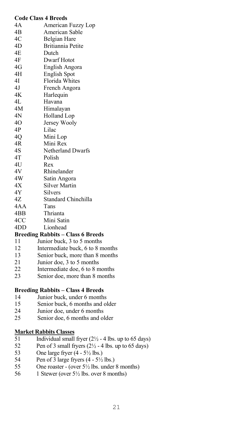|     | <b>Code Class 4 Breeds</b>               |
|-----|------------------------------------------|
| 4A  | American Fuzzy Lop                       |
| 4B  | American Sable                           |
| 4C  | Belgian Hare                             |
| 4D  | Britiannia Petite                        |
| 4E  | Dutch                                    |
| 4F  | Dwarf Hotot                              |
| 4G  | English Angora                           |
| 4Η  | <b>English Spot</b>                      |
| 41  | Florida Whites                           |
| 4J  | French Angora                            |
| 4K  | Harlequin                                |
| 4L  | Havana                                   |
| 4Μ  | Himalayan                                |
| 4N  | <b>Holland Lop</b>                       |
| 40  | Jersey Wooly                             |
| 4P  | Lilac                                    |
| 40  | Mini Lop                                 |
| 4R  | Mini Rex                                 |
| 4S  | Netherland Dwarfs                        |
| 4T  | Polish                                   |
| 4U  | Rex                                      |
| 4V  | Rhinelander                              |
| 4W  | Satin Angora                             |
| 4X  | <b>Silver Martin</b>                     |
| 4Y  | Silvers                                  |
| 4Z  | Standard Chinchilla                      |
| 4AA | Tans                                     |
| 4BB | Thrianta                                 |
| 4CC | Mini Satin                               |
| 4DD | Lionhead                                 |
|     | <b>Breeding Rabbits - Class 6 Breeds</b> |
| 11  | Junior buck, 3 to 5 months               |
| 12  | Intermediate buck, 6 to 8 months         |
| 13  | Senior buck, more than 8 months          |
| 21  | Junior doe, 3 to 5 months                |
| 22  | Intermediate doe, 6 to 8 months          |
| 23  | Senior doe, more than 8 months           |
|     | <b>Breeding Rabbits - Class 4 Breeds</b> |
|     |                                          |

- 14 Junior buck, under 6 months
- 15 Senior buck, 6 months and older
- 24 Junior doe, under 6 months<br>25 Senior doe, 6 months and of
- Senior doe, 6 months and older

# **Market Rabbits Classes**<br>51 Individual small

- $\frac{51}{52}$  Individual small fryer ( $2\frac{1}{2}$  4 lbs. up to 65 days)<br>52 Pen of 3 small fryers ( $2\frac{1}{2}$  4 lbs. up to 65 days)
- 52 Pen of 3 small fryers  $(2\frac{1}{2} 4 \text{ lbs. up to 65 days})$ <br>53 One large fryer  $(4 5\frac{1}{2} \text{ lbs.})$
- 53 One large fryer  $(4 5\frac{1}{2}$  lbs.)<br>54 Pen of 3 large fryers  $(4 5\frac{1}{2})$
- 54 Pen of  $\overline{3}$  large fryers (4 5<sup>1</sup>/<sub>2</sub> lbs.)<br>55 One roaster (over 5<sup>1</sup>/<sub>2</sub> lbs. under
- 55 One roaster (over  $5\frac{1}{2}$  lbs. under 8 months)<br>56 1 Stewer (over  $5\frac{1}{2}$  lbs. over 8 months)
- 56 1 Stewer (over 5½ lbs. over 8 months)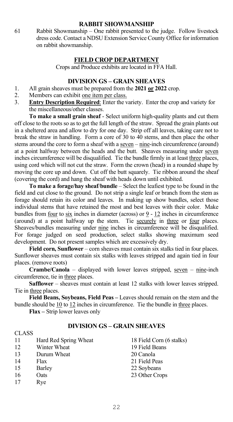#### **RABBIT SHOWMANSHIP**

61 Rabbit Showmanship – One rabbit presented to the judge. Follow livestock dress code. Contact a NDSU Extension Service County Office for information on rabbit showmanship.

#### **FIELD CROP DEPARTMENT**

Crops and Produce exhibits are located in FFA Hall.

## **DIVISION GS – GRAIN SHEAVES**

- 1. All grain sheaves must be prepared from the **2021 or 2022** crop.
- Members can exhibit one item per class.
- 3. **Entry Description Required**: Enter the variety. Enter the crop and variety for the miscellaneous/other classes.

**To make a small grain sheaf** - Select uniform high-quality plants and cut them off close to the roots so as to get the full length of the straw. Spread the grain plants out in a sheltered area and allow to dry for one day. Strip off all leaves, taking care not to break the straw in handling. Form a core of 30 to 40 stems, and then place the other stems around the core to form a sheaf with a seven – nine-inch circumference (around) at a point halfway between the heads and the butt. Sheaves measuring under seven inches circumference will be disqualified. Tie the bundle firmly in at least three places, using cord which will not cut the straw. Form the crown (head) in a rounded shape by moving the core up and down. Cut off the butt squarely. Tie ribbon around the sheaf (covering the cord) and hang the sheaf with heads down until exhibited.

**To make a forage/hay sheaf**/**bundle** – Select the leafiest type to be found in the field and cut close to the ground. Do not strip a single leaf or branch from the stem as forage should retain its color and leaves. In making up show bundles, select those individual stems that have retained the most and best leaves with their color. Make bundles from four to six inches in diameter (across) or 9 - 12 inches in circumference (around) at a point halfway up the stem. Tie securely in three or four places. Sheaves/bundles measuring under nine inches in circumference will be disqualified. For forage judged on seed production, select stalks showing maximum seed development. Do not present samples which are excessively dry.

**Field corn, Sunflower** – corn sheaves must contain six stalks tied in four places. Sunflower sheaves must contain six stalks with leaves stripped and again tied in four places. (remove roots)

Crambe/Canola - displayed with lower leaves stripped, seven - nine-inch circumference, tie in three places.

**Safflower** – sheaves must contain at least 12 stalks with lower leaves stripped. Tie in three places.

**Field Beans, Soybeans, Field Peas –** Leaves should remain on the stem and the bundle should be 10 to 12 inches in circumference. Tie the bundle in three places.

**Flax –** Strip lower leaves only

# **DIVISION GS – GRAIN SHEAVES**

| <b>CLASS</b> |                       |                          |
|--------------|-----------------------|--------------------------|
| 11           | Hard Red Spring Wheat | 18 Field Corn (6 stalks) |
| 12           | Winter Wheat          | 19 Field Beans           |
| 13           | Durum Wheat           | 20 Canola                |
| 14           | Flax                  | 21 Field Peas            |
| 15           | Barley                | 22 Soybeans              |
| 16           | Oats                  | 23 Other Crops           |
| 17           | Rve                   |                          |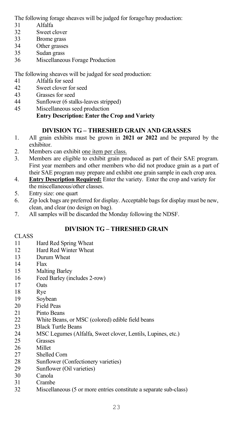The following forage sheaves will be judged for forage/hay production:

- 31 Alfalfa<br>32 Sweet c
- Sweet clover
- 33 Brome grass
- 34 Other grasses
- 35 Sudan grass
- Miscellaneous Forage Production

The following sheaves will be judged for seed production:

- 41 Alfalfa for seed<br>42 Sweet clover for
- Sweet clover for seed
- 43 Grasses for seed
- 44 Sunflower (6 stalks-leaves stripped)
- 45 Miscellaneous seed production

# **Entry Description: Enter the Crop and Variety**

# **DIVISION TG – THRESHED GRAIN AND GRASSES**

- 1. All grain exhibits must be grown in **2021 or 2022** and be prepared by the exhibitor.
- 2. Members can exhibit one item per class.
- 3. Members are eligible to exhibit grain produced as part of their SAE program. First year members and other members who did not produce grain as a part of their SAE program may prepare and exhibit one grain sample in each crop area.
- 4. **Entry Description Required:** Enter the variety. Enter the crop and variety for the miscellaneous/other classes.
- 5. Entry size: one quart
- 6. Zip lock bags are preferred for display. Acceptable bags for display must be new, clean, and clear (no design on bag).
- 7. All samples will be discarded the Monday following the NDSF.

# **DIVISION TG – THRESHED GRAIN**

## CLASS

- 11 Hard Red Spring Wheat
- 12 Hard Red Winter Wheat<br>13 Durum Wheat
- 13 Durum Wheat<br>14 Flax
- 14 Flax<br>15 Malt
- **Malting Barley**
- 16 Feed Barley (includes 2-row)<br>17 Oats
- Oats
- 18 Rye<br>19 Soyl
- 19 Soybean<br>20 Field Pea
- 20 Field Peas<br>21 Pinto Bean
- Pinto Beans
- 22 White Beans, or MSC (colored) edible field beans<br>23 Black Turtle Beans
- **Black Turtle Beans**
- 24 MSC Legumes (Alfalfa, Sweet clover, Lentils, Lupines, etc.)<br>25 Grasses
- **Grasses**
- 26 Millet<br>27 Shellee
- Shelled Corn
- 28 Sunflower (Confectionery varieties)<br>29 Sunflower (Oil varieties)
- Sunflower (Oil varieties)
- 30 Canola<br>31 Crambe
- **Crambe**
- 32 Miscellaneous (5 or more entries constitute a separate sub-class)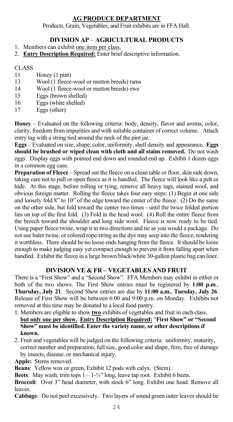# **AG PRODUCE DEPARTMENT**

Products, Grain, Vegetables, and Fruit exhibits are in FFA Hall.

# **DIVISION AP** – **AGRICULTURAL PRODUCTS**

- 1. Members can exhibit one item per class.
- 2. **Entry Description Required:** Enter brief descriptive information.

#### CLASS<sub>1</sub>

- 11 Honey (1 pint)
- 13 Wool (1 fleece-wool or mutton breeds) rams
- 14 Wool (1 fleece-wool or mutton breeds) ewe<br>15 Fogs (brown shelled)
- Eggs (brown shelled)
- 16 Eggs (white shelled)<br>17 Eggs (other)
- Eggs (other)

**Honey** – Evaluated on the following criteria: body, density, flavor and aroma, color, clarity, freedom from impurities and with suitable container of correct volume. Attach entry tag with a string tied around the neck of the pint jar.

**Eggs** – Evaluated on size, shape, color, uniformity, shell density and appearance**. Eggs should be brushed or wiped clean with cloth and all stains removed.** Do not wash eggs. Display eggs with pointed end down and rounded end up. Exhibit 1 dozen eggs in a common egg case.

**Preparation of Fleece** – Spread out the fleece on a clean table or floor, skin side down, taking care not to pull or open fleece as it is handled. The fleece will look like a pelt or hide. At this stage, before rolling or tying, remove all heavy tags, stained wool, and obvious foreign matter. Rolling the fleece takes four easy steps: (1) Begin at one side and loosely fold 8" to 10" of the edge toward the center of the fleece. (2) Do the same on the other side, but fold toward the center two times - until the twice folded portion lies on top of the first fold. (3) Fold in the head wool. (4) Roll the entire fleece from the breech toward the shoulder and long side wool. Fleece is now ready to be tied. Using paper fleece twine, wrap it in two directions and tie as you would a package. Do not use baler twine, or colored rope/string as the dye may seep into the fleece, rendering it worthless. There should be no loose ends hanging from the fleece. It should be loose enough to make judging easy yet compact enough to prevent it from falling apart when handled. Exhibit the fleece in a large brown/black/white 30-gallon plastic bag can liner.

#### **DIVISION VE & FR – VEGETABLES AND FRUIT**

There is a "First Show" and a "Second Show". FFA Members may exhibit in either or both of the two shows. The First Show entries must be registered by **1:00 p.m**., **Thursday, July 21**. Second Show entries are due by **11:00 a.m.**, **Tuesday, July 26**. Release of First Show will be between 6:00 and 9:00 p.m. on Monday. Exhibits not removed at this time may be donated to a local food pantry.

- 1. Members are eligible to show **two** exhibits of vegetables and fruit in each class, **but only one per show. Entry Description Required:** "**First Show" or "Second Show" must be identified. Enter the variety name, or other descriptions if known.**
- 2. Fruit and vegetables will be judged on the following criteria: uniformity, maturity, correct number and preparation, full size, good color and shape, firm, free of damage by insects, disease, or mechanical injury.
- **Apple:** Stems removed.

**Beans**: Yellow wax or green, Exhibit 12 pods with calyx. (Stem).

**Beets**: May wash, trim tops  $1 - 1-\frac{1}{2}$  long, leave tap root. Exhibit 6 beets.

**Broccoli**: Over 3" head diameter, with stock 6" long. Exhibit one head. Remove all leaves.

**Cabbage**: Do not peel excessively. Two layers of sound green outer leaves should be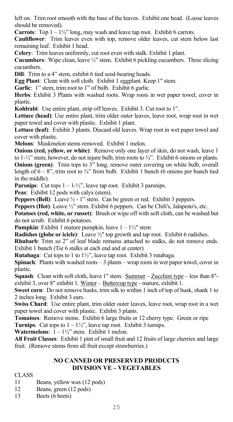left on. Trim root smooth with the base of the leaves. Exhibit one head. (Loose leaves should be removed).

**Carrots**: Top  $1 - 1\frac{1}{2}$ " long, may wash and leave tap root. Exhibit 6 carrots.

**Cauliflower**: Trim leaves even with top, remove older leaves, cut stem below last remaining leaf. Exhibit 1 head.

**Celery**: Trim leaves uniformly, cut root even with stalk. Exhibit 1 plant.

**Cucumbers**: Wipe clean, leave ½" stem. Exhibit 6 pickling cucumbers. Three slicing cucumbers.

**Dill**: Trim to a 4" stem, exhibit 6 tied seed-bearing heads.

**Egg Plant**: Clean with soft cloth. Exhibit 1 eggplant. Keep 1" stem.

Garlic: 1" stem, trim root to 1" of bulb. Exhibit 6 garlic.

**Herbs**: Exhibit 3 Plants with washed roots. Wrap roots in wet paper towel, cover in plastic.

**Kohlrabi**: Use entire plant, strip off leaves. Exhibit 3. Cut root to 1".

**Lettuce (head)**: Use entire plant, trim older outer leaves, leave root, wrap root in wet paper towel and cover with plastic. Exhibit 1 plant.

**Lettuce (leaf)**: Exhibit 3 plants. Discard old leaves. Wrap root in wet paper towel and cover with plastic.

**Melons**: Muskmelon stems removed. Exhibit 1 melon.

**Onions (red, yellow, or white)**: Remove only one layer of skin, do not wash, leave 1 to  $1-\frac{1}{2}$ " stem; however, do not injure bulb, trim roots to  $\frac{3}{4}$ ". Exhibit 6 onions or plants. **Onions (green)**: Trim tops to 3" long, remove outer covering on white bulb, overall length of  $6 - 8$ ", trim root to  $\frac{3}{4}$ " from bulb. Exhibit 1 bunch (6 onions per bunch tied in the middle).

**Parsnips**: Cut tops  $1 - 1-\frac{1}{2}$ , leave tap root. Exhibit 3 parsnips.

**Peas**: Exhibit 12 pods with calyx (stem).

**Peppers (Bell)**: Leave  $\frac{1}{2}$  - 1" stem. Can be green or red. Exhibit 3 peppers.

**Peppers (Hot)**: Leave ½" stem. Exhibit 6 peppers. Can be Chili's, Jalapeno's, etc.

**Potatoes (red, white, or russet)**: Brush or wipe off with soft cloth, can be washed but do not scrub. Exhibit 6 potatoes.

**Pumpkin**: Exhibit 1 mature pumpkin, leave 1 – 1½" stem

**Radishes (globe or icicle)**: Leave ½" top growth and tap root. Exhibit 6 radishes.

**Rhubarb**: Trim so 2" of leaf blade remains attached to stalks, do not remove ends. Exhibit 1 bunch (Tie 6 stalks at each end and at center)

**Rutabaga**: Cut tops to 1 to 1½", leave tap root. Exhibit 3 rutabaga.

**Spinach**: Plants with washed roots – 3 plants – wrap roots in wet paper towel, cover in plastic.

**Squash**: Clean with soft cloth, leave 1" stem. Summer – Zucchini type – less than 8" exhibit 3, over 8" exhibit 1. Winter - Buttercup type - mature, exhibit 1.

**Sweet corn**: Do not remove husks, trim silk to within 1 inch of top of husk, shank 1 to 2 inches long. Exhibit 3 ears.

**Swiss Chard**: Use entire plant, trim older outer leaves, leave root, wrap root in a wet paper towel and cover with plastic. Exhibit 3 plants.

**Tomatoes**: Remove stems. Exhibit 6 large fruits or 12 cherry type. Green or ripe **Turnips**: Cut tops to  $1 - 1\frac{1}{2}$ , leave tap root. Exhibit 3 turnips.

**Watermelons**: 1 – 1½" stem. Exhibit 1 melon.

**All Fruit Classes**: Exhibit 1 pint of small fruit and 12 fruits of large cherries and large fruit. (Remove stems from all fruit except strawberries.)

# **NO CANNED OR PRESERVED PRODUCTS DIVISION VE – VEGETABLES**

- Beans, yellow wax (12 pods)
- 12 Beans, green (12 pods)<br>13 Beets (6 beets)
- Beets ( $6$  beets)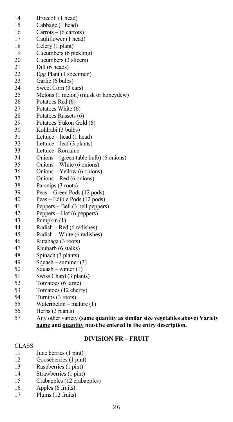| 14       | Broccoli (1 head)                                  |
|----------|----------------------------------------------------|
| 15       | Cabbage (1 head)                                   |
| 16       | $Carrots - (6 carrots)$                            |
| 17       | Cauliflower (1 head)                               |
| 18       | Celery (1 plant)                                   |
| 19       | Cucumbers (6 pickling)                             |
| 20       | Cucumbers (3 slicers)                              |
| 21       | Dill (6 heads)                                     |
| 22       | Egg Plant (1 specimen)                             |
| 23       | Garlic (6 bulbs)                                   |
| 24       | Sweet Corn (3 ears)                                |
| 25       | Melons (1 melon) (musk or honeydew)                |
| 26       | Potatoes Red (6)                                   |
| 27       | Potatoes White (6)                                 |
| 28       | Potatoes Russets (6)                               |
| 29       | Potatoes Yukon Gold (6)                            |
| 30       | Kohlrabi (3 bulbs)                                 |
| 31       | Lettuce – head (1 head)                            |
| 32       | Lettuce - leaf (3 plants)                          |
| 33       | Lettuce--Romaine                                   |
| 34       | Onions - (green table bulb) (6 onions)             |
| 35       | Onions - White (6 onions)                          |
| 36       | Onions - Yellow (6 onions)                         |
| 37       | Onions – Red (6 onions)                            |
| 38       | Parsnips (3 roots)                                 |
| 39       | Peas - Green Pods (12 pods)                        |
| 40       | Peas - Edible Pods (12 pods)                       |
| 41       | Peppers – Bell (3 bell peppers)                    |
| 42       | Peppers - Hot (6 peppers)                          |
| 43       | Pumpkin (1)                                        |
| 44       | Radish - Red (6 radishes)                          |
| 45       | Radish - White (6 radishes)                        |
| 46       | Rutabaga (3 roots)                                 |
| 47       | Rhubarb (6 stalks)                                 |
| 48       | Spinach (3 plants)                                 |
| 49       | Squash – summer (3)                                |
| 50       | $Squash - winter(1)$                               |
| 51       |                                                    |
| 52       | Swiss Chard (3 plants)                             |
|          | Tomatoes (6 large)                                 |
| 53       | Tomatoes (12 cherry)                               |
| 54<br>55 | Turnips (3 roots)<br>Watermelon – mature $(1)$     |
| 56       |                                                    |
| 57       | Herbs (3 plants)                                   |
|          | Any other variety (same quantity as similar size v |

#### 57 Any other variety **(same quantity as similar size vegetables above) Variety name and quantity must be entered in the entry description.**

# **DIVISION FR – FRUIT**

- 11 June berries (1 pint)<br>12 Gooseberries (1 pint)
- 12 Gooseberries (1 pint)<br>13 Raspberries (1 pint)
- 13 Raspberries (1 pint)<br>14 Strawberries (1 pint)
- 14 Strawberries (1 pint)<br>15 Crabapples (12 craba
- Crabapples (12 crabapples)
- 16 Apples (6 fruits)<br>17 Plums (12 fruits)
- $Plums$  (12 fruits)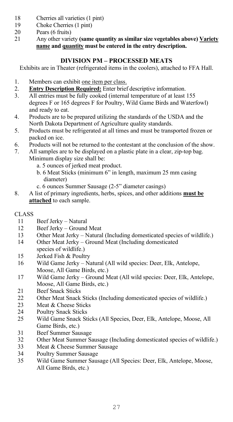- 18 Cherries all varieties (1 pint)
- 19 Choke Cherries (1 pint)<br>20 Pears (6 fruits)
- 20 Pears (6 fruits)<br>21 Any other varie
- 21 Any other variety **(same quantity as similar size vegetables above) Variety name and quantity must be entered in the entry description.**

# **DIVISION PM – PROCESSED MEATS**

Exhibits are in Theater (refrigerated items in the coolers), attached to FFA Hall.

- 1. Members can exhibit one item per class.
- 2. **Entry Description Required:** Enter brief descriptive information.<br>3. All entries must be fully cooked (internal temperature of at least)
- All entries must be fully cooked (internal temperature of at least 155 degrees F or 165 degrees F for Poultry, Wild Game Birds and Waterfowl) and ready to eat.
- 4. Products are to be prepared utilizing the standards of the USDA and the North Dakota Department of Agriculture quality standards.
- 5. Products must be refrigerated at all times and must be transported frozen or packed on ice.
- 6. Products will not be returned to the contestant at the conclusion of the show.<br>
7. All samples are to be displayed on a plastic plate in a clear, zip-top hag.
- All samples are to be displayed on a plastic plate in a clear, zip-top bag. Minimum display size shall be:
	- a. 5 ounces of jerked meat product.
	- b. 6 Meat Sticks (minimum 6" in length, maximum 25 mm casing diameter)
- c. 6 ounces Summer Sausage (2-5" diameter casings)<br>8. A list of primary ingredients, herbs, spices, and other add
- 8. A list of primary ingredients, herbs, spices, and other additions **must be attached** to each sample.

- Beef Jerky Natural
- 12 Beef Jerky Ground Meat<br>13 Other Meat Jerky Natural
- Other Meat Jerky Natural (Including domesticated species of wildlife.)
- 14 Other Meat Jerky Ground Meat (Including domesticated
- species of wildlife.)
- 15 Jerked Fish & Poultry<br>16 Wild Game Jerky Na
- Wild Game Jerky Natural (All wild species: Deer, Elk, Antelope, Moose, All Game Birds, etc.)
- 17 Wild Game Jerky Ground Meat (All wild species: Deer, Elk, Antelope, Moose, All Game Birds, etc.)
- 21 Beef Snack Sticks<br>22 Other Meat Snack
- 22 Other Meat Snack Sticks (Including domesticated species of wildlife.)<br>23 Meat & Cheese Sticks
- Meat & Cheese Sticks
- 24 Poultry Snack Sticks<br>25 Wild Game Snack St
- 25 Wild Game Snack Sticks (All Species, Deer, Elk, Antelope, Moose, All Game Birds, etc.)
- 31 Beef Summer Sausage
- 32 Other Meat Summer Sausage (Including domesticated species of wildlife.)<br>33 Meat & Cheese Summer Sausage
- Meat & Cheese Summer Sausage
- 34 Poultry Summer Sausage<br>35 Wild Game Summer Saus
- 35 Wild Game Summer Sausage (All Species: Deer, Elk, Antelope, Moose, All Game Birds, etc.)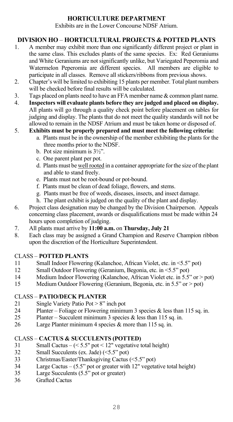# **HORTICULTURE DEPARTMENT**

Exhibits are in the Lower Concourse NDSF Atrium.

# **DIVISION HO** – **HORTICULTURAL PROJECTS & POTTED PLANTS**

- 1. A member may exhibit more than one significantly different project or plant in the same class. This excludes plants of the same species. Ex: Red Geraniums and White Geraniums are not significantly unlike, but Variegated Peperomia and Watermelon Peperomia are different species. All members are eligible to participate in all classes. Remove all stickers/ribbons from previous shows.
- 2. Chapter's will be limited to exhibiting 15 plants per member. Total plant numbers will be checked before final results will be calculated.
- 3. Tags placed on plants need to have an FFA member name  $\&$  common plant name.
- 4. **Inspectors will evaluate plants before they are judged and placed on display.**  All plants will go through a quality check point before placement on tables for judging and display. The plants that do not meet the quality standards will not be allowed to remain in the NDSF Atrium and must be taken home or disposed of.
- 5. **Exhibits must be properly prepared and must meet the following criteria:** 
	- a. Plants must be in the ownership of the member exhibiting the plants for the three months prior to the NDSF.
	- b. Pot size minimum is 3½".
	- c. One parent plant per pot.
	- d. Plants must be well rooted in a container appropriate for the size of the plant and able to stand freely.
	- e. Plants must not be root-bound or pot-bound.
	- f. Plants must be clean of dead foliage, flowers, and stems.
	- g. Plants must be free of weeds, diseases, insects, and insect damage.
- h. The plant exhibit is judged on the quality of the plant and display.<br>6. Project class designation may be changed by the Division Chairnerson.
- Project class designation may be changed by the Division Chairperson. Appeals concerning class placement, awards or disqualifications must be made within 24 hours upon completion of judging.
- 7. All plants must arrive by **11:00 a.m.** on **Thursday, July 21**
- Each class may be assigned a Grand Champion and Reserve Champion ribbon upon the discretion of the Horticulture Superintendent.

# CLASS – **POTTED PLANTS**

- Small Indoor Flowering (Kalanchoe, African Violet, etc. in <5.5" pot)
- 12 Small Outdoor Flowering (Geranium, Begonia, etc. in <5.5" pot)<br>14 Medium Indoor Flowering (Kalanchoe, African Violet etc. in 5.5"
- 14 Medium Indoor Flowering (Kalanchoe, African Violet etc. in 5.5" or > pot)<br>15 Medium Outdoor Flowering (Geranium, Begonia, etc. in 5.5" or > pot)
- Medium Outdoor Flowering (Geranium, Begonia, etc. in 5.5" or > pot)

# CLASS – **PATIO/DECK PLANTER**

- Single Variety Patio Pot > 8" inch pot
- 24 Planter Foliage or Flowering minimum 3 species & less than 115 sq. in.
- 25 Planter Succulent minimum 3 species & less than 115 sq. in.<br>26 Iarge Planter minimum 4 species & more than 115 sq. in.
- Large Planter minimum 4 species  $&$  more than 115 sq. in.

### CLASS – **CACTUS & SUCCULENTS (POTTED)**

- 31 Small Cactus  $(<5.5" \text{ pot} < 12"$  vegetative total height)<br>32 Small Succulents (ex. Jade) ( $<5.5" \text{ pot}$ )
- $\sum_{r=1}^{\infty}$  Small Succulents (ex. Jade) (<5.5" pot)
- 33 Christmas/Easter/Thanksgiving Cactus (<5.5" pot)
- 34 Large Cactus (5.5" pot or greater with 12" vegetative total height)
- 35 Large Succulents (5.5" pot or greater)<br>36 Grafted Cactus
- Grafted Cactus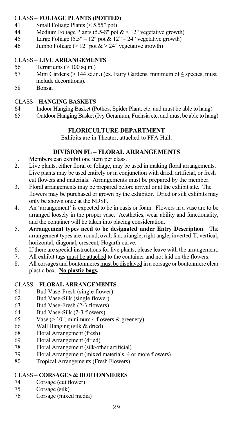# CLASS – **FOLIAGE PLANTS (POTTED)**

- 41 Small Foliage Plants (< 5.55" pot)<br>44 Medium Foliage Plants (5.5-8" pot
- Medium Foliage Plants (5.5-8<sup> $\hat{h}$ </sup> pot  $\< 12$ " vegetative growth)
- 45 Large Foliage  $(5.5" 12"$  pot  $\& 12" 24"$  vegetative growth)
- 46 Jumbo Foliage ( $> 12$ " pot  $\&$   $> 24$ " vegetative growth)

# CLASS – **LIVE ARRANGEMENTS**

- 56 Terrariums (> 100 sq.in.)<br>57 Mini Gardens (> 144 sq.in
- Mini Gardens (> 144 sq.in.) (ex. Fairy Gardens, minimum of 4 species, must include decorations).<br>58 Bonsai
- **Bonsai**

# CLASS – **HANGING BASKETS**

- 64 Indoor Hanging Basket (Pothos, Spider Plant, etc. and must be able to hang)
- 65 Outdoor Hanging Basket (Ivy Geranium, Fuchsia etc. and must be able to hang)

# **FLORICULTURE DEPARTMENT**

Exhibits are in Theater, attached to FFA Hall.

#### **DIVISION FL – FLORAL ARRANGEMENTS**

- 1. Members can exhibit one item per class.
- 2. Live plants, either floral or foliage, may be used in making floral arrangements. Live plants may be used entirely or in conjunction with dried, artificial, or fresh cut flowers and materials. Arrangements must be prepared by the member.
- 3. Floral arrangements may be prepared before arrival or at the exhibit site. The flowers may be purchased or grown by the exhibitor. Dried or silk exhibits may only be shown once at the NDSF.
- 4. An 'arrangement' is expected to be in oasis or foam. Flowers in a vase are to be arranged loosely in the proper vase. Aesthetics, wear ability and functionality, and the container will be taken into placing consideration.
- 5. **Arrangement types need to be designated under Entry Description**. The arrangement types are: round, oval, fan, triangle, right angle, inverted-T, vertical, horizontal, diagonal, crescent, Hogarth curve.
- 6. If there are special instructions for live plants, please leave with the arrangement.
- 7. All exhibit tags must be attached to the container and not laid on the flowers.
- 8. All corsages and boutonnieres must be displayed in a corsage or boutonniere clear plastic box. **No plastic bags.**

# CLASS – **FLORAL ARRANGEMENTS**

- 61 Bud Vase-Fresh (single flower)
- 62 Bud Vase-Silk (single flower)
- 63 Bud Vase-Fresh (2-3 flowers)
- 64 Bud Vase-Silk (2-3 flowers)
- 65 Vase (> 10", minimum 4 flowers & greenery)<br>66 Wall Hanging (silk & dried)
- Wall Hanging (silk & dried)
- 68 Floral Arrangement (fresh)
- Floral Arrangement (dried)
- 78 Floral Arrangement (silk/other artificial)
- 79 Floral Arrangement (mixed materials, 4 or more flowers)
- 80 Tropical Arrangements (Fresh Flowers)

# CLASS – **CORSAGES & BOUTONNIERES**

- Corsage (cut flower)
- 75 Corsage (silk)
- 76 Corsage (mixed media)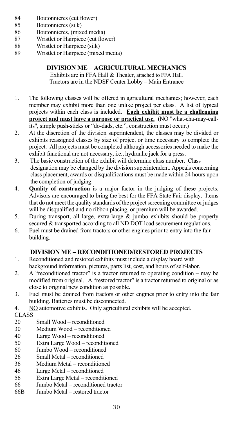- 84 Boutonnieres (cut flower)
- 85 Boutonnieres (silk)
- 86 Boutonnieres, (mixed media)
- 87 Wristlet or Hairpiece (cut flower)
- 88 Wristlet or Hairpiece (silk)<br>89 Wristlet or Hairpiece (mixe
- Wristlet or Hairpiece (mixed media)

# **DIVISION ME** – **AGRICULTURAL MECHANICS**

Exhibits are in FFA Hall & Theater, attached to FFA Hall. Tractors are in the NDSF Center Lobby – Main Entrance

- 1. The following classes will be offered in agricultural mechanics; however, each member may exhibit more than one unlike project per class. A list of typical projects within each class is included. **Each exhibit must be a challenging project and must have a purpose or practical use.** (NO "what-cha-may-callits", simple push-sticks or "do-dads, etc.", construction must occur.)
- 2. At the discretion of the division superintendent, the classes may be divided or exhibits reassigned classes by size of project or time necessary to complete the project. All projects must be completed although accessories needed to make the exhibit functional are not necessary, i.e., hydraulic jack for a press.
- 3. The basic construction of the exhibit will determine class number. Class designation may be changed by the division superintendent. Appeals concerning class placement, awards or disqualifications must be made within 24 hours upon the completion of judging.<br>4. Ouality of construction
- **Quality of construction** is a major factor in the judging of these projects. Advisors are encouraged to bring the best for the FFA State Fair display. Items that do not meet the quality standards of the project screening committee or judges will be disqualified and no ribbon placing, or premium will be awarded.
- 5. During transport, all large, extra-large & jumbo exhibits should be properly secured & transported according to all ND DOT load securement regulations.
- 6. Fuel must be drained from tractors or other engines prior to entry into the fair building.

# **DIVISION ME – RECONDITIONED/RESTORED PROJECTS**

- 1. Reconditioned and restored exhibits must include a display board with background information, pictures, parts list, cost, and hours of self-labor.
- 2. A "reconditioned tractor" is a tractor returned to operating condition may be modified from original. A "restored tractor" is a tractor returned to original or as close to original new condition as possible.
- 3. Fuel must be drained from tractors or other engines prior to entry into the fair building. Batteries must be disconnected.
- 4. NO automotive exhibits. Only agricultural exhibits will be accepted.

# CLASS<sub>20</sub>

- Small Wood reconditioned
- 30 Medium Wood reconditioned<br>40 I.arge Wood reconditioned
- 40 Large Wood reconditioned<br>50 Extra Large Wood recondit
- 50 Extra Large Wood reconditioned<br>60 Jumbo Wood reconditioned
- Jumbo Wood reconditioned
- 26 Small Metal reconditioned<br>36 Medium Metal recondition
- Medium Metal reconditioned
- 46 Large Metal reconditioned<br>56 Extra Large Metal recondition
- 56 Extra Large Metal reconditioned
- 66 Jumbo Metal reconditioned tractor<br>66B Jumbo Metal restored tractor
- Jumbo Metal restored tractor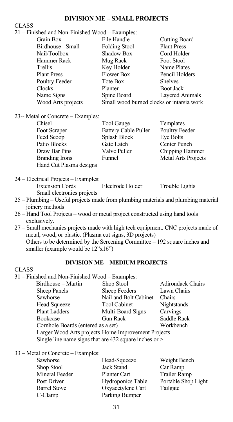#### **DIVISION ME – SMALL PROJECTS**

#### CLASS

| 21 – Finished and Non-Finished Wood – Examples: |                                           |                      |
|-------------------------------------------------|-------------------------------------------|----------------------|
| Grain Box                                       | File Handle                               | <b>Cutting Board</b> |
| Birdhouse - Small                               | <b>Folding Stool</b>                      | <b>Plant Press</b>   |
| Nail/Toolbox                                    | Shadow Box                                | Cord Holder          |
| Hammer Rack                                     | Mug Rack                                  | Foot Stool           |
| Trellis                                         | Key Holder                                | Name Plates          |
| <b>Plant Press</b>                              | <b>Flower Box</b>                         | Pencil Holders       |
| Poultry Feeder                                  | Tote Box                                  | Shelves              |
| Clocks                                          | Planter                                   | <b>Boot Jack</b>     |
| Name Signs                                      | Spine Board                               | Layered Animals      |
| Wood Arts projects                              | Small wood burned clocks or intarsia work |                      |
|                                                 |                                           |                      |

23-- Metal or Concrete – Examples:

| Chisel                  | Tool Gauge                  | Templates           |
|-------------------------|-----------------------------|---------------------|
| Foot Scraper            | <b>Battery Cable Puller</b> | Poultry Feeder      |
| Feed Scoop              | Splash Block                | Eye Bolts           |
| Patio Blocks            | Gate Latch                  | Center Punch        |
| Draw Bar Pins           | Valve Puller                | Chipping Hammer     |
| <b>Branding Irons</b>   | Funnel                      | Metal Arts Projects |
| Hand Cut Plasma designs |                             |                     |

- 24 Electrical Projects Examples: Extension Cords Electrode Holder Trouble Lights Small electronics projects
- 25 Plumbing Useful projects made from plumbing materials and plumbing material joinery methods
- 26 Hand Tool Projects wood or metal project constructed using hand tools exclusively.
- 27 Small mechanics projects made with high tech equipment. CNC projects made of metal, wood, or plastic. (Plasma cut signs, 3D projects) Others to be determined by the Screening Committee – 192 square inches and smaller (example would be 12"x16")

#### **DIVISION ME – MEDIUM PROJECTS**

#### CLASS  $31 - Fi$

|                                                            | 31 – Finished and Non-Finished Wood – Examples: |                          |  |
|------------------------------------------------------------|-------------------------------------------------|--------------------------|--|
| Birdhouse – Martin                                         | Shop Stool                                      | <b>Adirondack Chairs</b> |  |
| Sheep Panels                                               | Sheep Feeders                                   | Lawn Chairs              |  |
| Sawhorse                                                   | Nail and Bolt Cabinet                           | Chairs                   |  |
| <b>Head Squeeze</b>                                        | <b>Tool Cabinet</b>                             | Nightstands              |  |
| <b>Plant Ladders</b>                                       | Multi-Board Signs                               | Carvings                 |  |
| Bookcase                                                   | <b>Gun Rack</b>                                 | Saddle Rack              |  |
|                                                            | Cornhole Boards (entered as a set)              | Workbench                |  |
| Larger Wood Arts projects Home Improvement Projects        |                                                 |                          |  |
| Single line name signs that are $432$ square inches or $>$ |                                                 |                          |  |

33 – Metal or Concrete – Examples:

| Sawhorse            | Head-Squeeze      | Weight Bench        |
|---------------------|-------------------|---------------------|
| Shop Stool          | Jack Stand        | Car Ramp            |
| Mineral Feeder      | Planter Cart      | Trailer Ramp        |
| Post Driver         | Hydroponics Table | Portable Shop Light |
| <b>Barrel Stove</b> | Oxyacetylene Cart | Tailgate            |
| C-Clamp             | Parking Bumper    |                     |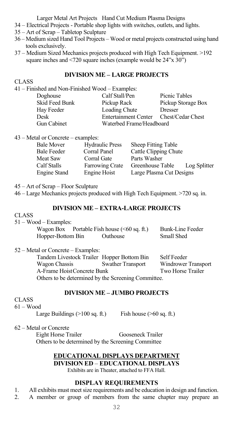Larger Metal Art Projects Hand Cut Medium Plasma Designs

- 34 Electrical Projects Portable shop lights with switches, outlets, and lights.
- 35 Art of Scrap Tabletop Sculpture
- 36 Medium sized Hand Tool Projects Wood or metal projects constructed using hand tools exclusively.
- 37 Medium Sized Mechanics projects produced with High Tech Equipment. >192 square inches and <720 square inches (example would be 24"x 30")

# **DIVISION ME – LARGE PROJECTS**

#### CLASS

| 41 – Finished and Non-Finished Wood – Examples: |                    |  |  |  |  |
|-------------------------------------------------|--------------------|--|--|--|--|
| Calf Stall/Pen<br>Picnic Tables<br>Doghouse     |                    |  |  |  |  |
| Pickup Rack                                     | Pickup Storage Box |  |  |  |  |
| Loading Chute                                   | <b>Dresser</b>     |  |  |  |  |
| <b>Entertainment Center</b>                     | Chest/Cedar Chest  |  |  |  |  |
| Waterbed Frame/Headboard<br>Gun Cabinet         |                    |  |  |  |  |
|                                                 |                    |  |  |  |  |

43 – Metal or Concrete – examples:

| Bale Mover         | <b>Hydraulic Press</b> | Sheep Fitting Table      |              |
|--------------------|------------------------|--------------------------|--------------|
| <b>Bale Feeder</b> | Corral Panel           | Cattle Clipping Chute    |              |
| Meat Saw           | Corral Gate            | Parts Washer             |              |
| Calf Stalls        | Farrowing Crate        | Greenhouse Table         | Log Splitter |
| Engine Stand       | Engine Hoist           | Large Plasma Cut Designs |              |

45 – Art of Scrap – Floor Sculpture

46 – Large Mechanics projects produced with High Tech Equipment. >720 sq. in.

#### **DIVISION ME – EXTRA-LARGE PROJECTS**

#### CLASS

51 – Wood – Examples:

| Wagon Box         | Portable Fish house $(60 sq. ft.)$ | Bunk-Line Feeder |
|-------------------|------------------------------------|------------------|
| Hopper-Bottom Bin | Outhouse                           | Small Shed       |

52 – Metal or Concrete – Examples:

| Tandem Livestock Trailer Hopper Bottom Bin          |                          | Self Feeder                              |
|-----------------------------------------------------|--------------------------|------------------------------------------|
| Wagon Chassis<br>A-Frame Hoist Concrete Bunk        | <b>Swather Transport</b> | Windrower Transport<br>Two Horse Trailer |
| Others to be determined by the Screening Committee. |                          |                                          |

# **DIVISION ME – JUMBO PROJECTS**

# CLASS

61 – Wood

Large Buildings  $(>100 \text{ sq. ft.})$  Fish house  $(>60 \text{ sq. ft.})$ 

62 – Metal or Concrete

 Eight Horse Trailer Gooseneck Trailer Others to be determined by the Screening Committee

# **EDUCATIONAL DISPLAYS DEPARTMENT DIVISION ED** – **EDUCATIONAL DISPLAYS**

Exhibits are in Theater, attached to FFA Hall.

#### **DISPLAY REQUIREMENTS**

- 1. All exhibits must meet size requirements and be education in design and function.
- 2. A member or group of members from the same chapter may prepare an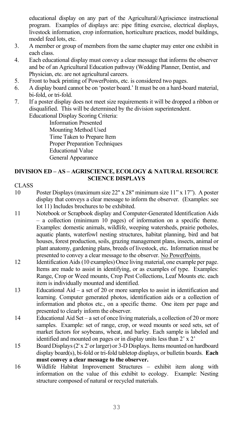educational display on any part of the Agricultural/Agriscience instructional program. Examples of displays are: pipe fitting exercise, electrical displays, livestock information, crop information, horticulture practices, model buildings, model feed lots, etc.

- 3. A member or group of members from the same chapter may enter one exhibit in each class.
- 4. Each educational display must convey a clear message that informs the observer and be of an Agricultural Education pathway (Wedding Planner, Dentist, and Physician, etc. are not agricultural careers.
- 5. Front to back printing of PowerPoints, etc. is considered two pages.<br>6. A display board cannot be on 'poster board.' It must be on a hard-bo
- 6. A display board cannot be on 'poster board.' It must be on a hard-board material, bi-fold, or tri-fold.
- 7. If a poster display does not meet size requirements it will be dropped a ribbon or disqualified. This will be determined by the division superintendent. Educational Display Scoring Criteria:

 Information Presented Mounting Method Used Time Taken to Prepare Item Proper Preparation Techniques Educational Value General Appearance

### **DIVISION ED – AS – AGRISCIENCE, ECOLOGY & NATURAL RESOURCE SCIENCE DISPLAYS**

# **CLASS**

- 10 Poster Displays (maximum size 22" x 28" minimum size 11" x 17"). A poster display that conveys a clear message to inform the observer. (Examples: see lot 11) Includes brochures to be exhibited.
- 11 Notebook or Scrapbook display and Computer-Generated Identification Aids – a collection (minimum 10 pages) of information on a specific theme. Examples: domestic animals, wildlife, weeping watersheds, prairie potholes, aquatic plants, waterfowl nesting structures, habitat planning, bird and bat houses, forest production, soils, grazing management plans, insects, animal or plant anatomy, gardening plans, breeds of livestock, etc**.** Information must be presented to convey a clear message to the observer. No PowerPoints.
- 12 Identification Aids (10 examples) Once living material, one example per page. Items are made to assist in identifying, or as examples of type. Examples: Range, Crop or Weed mounts, Crop Pest Collections, Leaf Mounts etc. each item is individually mounted and identified.
- 13 Educational Aid a set of 20 or more samples to assist in identification and learning. Computer generated photos, identification aids or a collection of information and photos etc., on a specific theme. One item per page and presented to clearly inform the observer.
- 14 Educational Aid Set a set of once living materials, a collection of 20 or more samples. Example: set of range, crop, or weed mounts or seed sets, set of market factors for soybeans, wheat, and barley. Each sample is labeled and identified and mounted on pages or in display units less than 2' x 2'
- 15 Board Displays(2' x 2' or larger) or 3-D Displays. Items mounted on hardboard display board(s), bi-fold or tri-fold tabletop displays, or bulletin boards. **Each must convey a clear message to the observer.**
- 16 Wildlife Habitat Improvement Structures exhibit item along with information on the value of this exhibit to ecology. Example: Nesting structure composed of natural or recycled materials.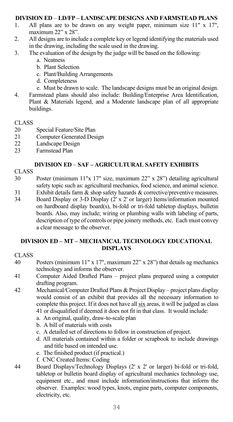# **DIVISION ED** – **LD/FP – LANDSCAPE DESIGNS AND FARMSTEAD PLANS**

- 1. All plans are to be drawn on any weight paper, minimum size 11" x 17", maximum 22" x 28".
- 2. All designs are to include a complete key or legend identifying the materials used in the drawing, including the scale used in the drawing.
- 3. The evaluation of the design by the judge will be based on the following:
	- a. Neatness
	- b. Plant Selection
	- c. Plant/Building Arrangements
	- d. Completeness
	- e. Must be drawn to scale. The landscape designs must be an original design.
- 4. Farmstead plans should also include: Building/Enterprise Area Identification, Plant & Materials legend, and a Moderate landscape plan of all appropriate buildings.

# CLASS<br>20

- Special Feature/Site Plan
- 21 Computer Generated Design<br>22 Landscape Design
- Landscape Design
- 23 Farmstead Plan

#### **DIVISION ED** – **SAF – AGRICULTURAL SAFETY EXHIBITS**

- CLASS
- 30 Poster (minimum 11"x 17" size, maximum 22" x 28") detailing agricultural safety topic such as: agricultural mechanics, food science, and animal science.
- 31 Exhibit details farm  $\&$  shop safety hazards  $\&$  corrective/preventive measures.<br>34 Board Display or 3-D Display (2' x 2' or larger) Items/information mounted
- 34 Board Display or 3-D Display (2' x 2' or larger) Items/information mounted on hardboard display board(s), bi-fold or tri-fold tabletop displays, bulletin boards. Also, may include; wiring or plumbing walls with labeling of parts, description of type of controls or pipe joinery methods, etc. Each must convey a clear message to the observer.

#### **DIVISION ED – MT – MECHANICAL TECHNOLOGY EDUCATIONAL DISPLAYS**

### CLASS

- 40 Posters (minimum 11" x 17", maximum 22" x 28") that details ag mechanics technology and informs the observer.
- 41 Computer Aided Drafted Plans project plans prepared using a computer drafting program.
- 42 Mechanical/Computer Drafted Plans & Project Display project plans display would consist of an exhibit that provides all the necessary information to complete this project. If it does not have all six areas, it will be judged as class 41 or disqualified if deemed it does not fit in that class. It would include:
	- a. An original, quality, draw-to-scale plan
	- b. A bill of materials with costs
	- c. A detailed set of directions to follow in construction of project.
	- d. All materials contained within a folder or scrapbook to include drawings and title based on intended use.
	- e. The finished product (if practical.)
	- f. CNC Created Items: Coding
- 44 Board Displays/Technology Displays (2' x 2' or larger) bi-fold or tri-fold, tabletop or bulletin board display of agricultural mechanics technology use, equipment etc., and must include information/instructions that inform the observer. Examples: wood types, knots, engine parts, computer components, electricity, etc.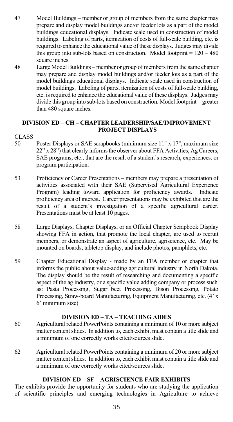- 47 Model Buildings member or group of members from the same chapter may prepare and display model buildings and/or feeder lots as a part of the model buildings educational displays. Indicate scale used in construction of model buildings. Labeling of parts, itemization of costs of full-scale building, etc. is required to enhance the educational value of these displays. Judges may divide this group into sub-lots based on construction. Model footprint  $= 120 - 480$ square inches.
- 48 Large Model Buildings member or group of members from the same chapter may prepare and display model buildings and/or feeder lots as a part of the model buildings educational displays. Indicate scale used in construction of model buildings. Labeling of parts, itemization of costs of full-scale building, etc. is required to enhance the educational value of these displays. Judges may divide this group into sub-lots based on construction. Model footprint = greater than 480 square inches.

#### **DIVISION ED** – **CH – CHAPTER LEADERSHIP/SAE/IMPROVEMENT PROJECT DISPLAYS**

# CLASS<br>50

- Poster Displays or SAE scrapbooks (minimum size 11" x 17", maximum size 22" x 28") that clearly informs the observer about FFA Activities, Ag Careers, SAE programs, etc., that are the result of a student's research, experiences, or program participation.
- 53 Proficiency or Career Presentations members may prepare a presentation of activities associated with their SAE (Supervised Agricultural Experience Program) leading toward application for proficiency awards. Indicate proficiency area of interest. Career presentations may be exhibited that are the result of a student's investigation of a specific agricultural career. Presentations must be at least 10 pages.
- 58 Large Displays, Chapter Displays, or an Official Chapter Scrapbook Display showing FFA in action, that promote the local chapter, are used to recruit members, or demonstrate an aspect of agriculture, agriscience, etc. May be mounted on boards, tabletop display, and include photos, pamphlets, etc.
- 59 Chapter Educational Display made by an FFA member or chapter that informs the public about value-adding agricultural industry in North Dakota. The display should be the result of researching and documenting a specific aspect of the ag industry, or a specific value adding company or process such as: Pasta Processing, Sugar beet Processing, Bison Processing, Potato Processing, Straw-board Manufacturing, Equipment Manufacturing, etc. (4' x 6' minimum size)

#### **DIVISION ED – TA – TEACHING AIDES**

- 60 Agricultural related PowerPoints containing a minimum of 10 or more subject matter content slides. In addition to, each exhibit must contain a title slide and a minimum of one correctly works cited/sources slide.
- 62 Agricultural related PowerPoints containing a minimum of 20 or more subject matter content slides. In addition to, each exhibit must contain a title slide and a minimum of one correctly works cited/sources slide.

#### **DIVISION ED – SF – AGRISCIENCE FAIR EXHIBITS**

The exhibits provide the opportunity for students who are studying the application of scientific principles and emerging technologies in Agriculture to achieve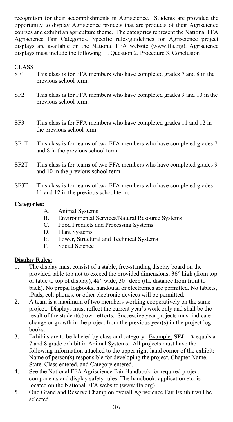recognition for their accomplishments in Agriscience. Students are provided the opportunity to display Agriscience projects that are products of their Agriscience courses and exhibit an agriculture theme. The categories represent the National FFA Agriscience Fair Categories. Specific rules/guidelines for Agriscience project displays are available on the National FFA website (www.ffa.org). Agriscience displays must include the following: 1. Question 2. Procedure 3. Conclusion

CLASS<br>SF1

- This class is for FFA members who have completed grades 7 and 8 in the previous school term.
- SF2 This class is for FFA members who have completed grades 9 and 10 in the previous school term.
- SF3 This class is for FFA members who have completed grades 11 and 12 in the previous school term.
- SF1T This class is for teams of two FFA members who have completed grades 7 and 8 in the previous school term.
- SF2T This class is for teams of two FFA members who have completed grades 9 and 10 in the previous school term.
- SF3T This class is for teams of two FFA members who have completed grades 11 and 12 in the previous school term.

# **Categories:**

- Animal Systems
- B. Environmental Services/Natural Resource Systems<br>C. Food Products and Processing Systems
- Food Products and Processing Systems
- D. Plant Systems<br>E. Power Structu
- Power, Structural and Technical Systems
- F. Social Science

# **Display Rules:**<br><sup>1</sup> The disple

- The display must consist of a stable, free-standing display board on the provided table top not to exceed the provided dimensions: 36" high (from top of table to top of display), 48" wide, 30" deep (the distance from front to back). No props, logbooks, handouts, or electronics are permitted. No tablets, iPads, cell phones, or other electronic devices will be permitted.
- 2. A team is a maximum of two members working cooperatively on the same project. Displays must reflect the current year's work only and shall be the result of the student(s) own efforts. Successive year projects must indicate change or growth in the project from the previous year(s) in the project log books.
- 3. Exhibits are to be labeled by class and category. Example: **SFJ A** equals a 7 and 8 grade exhibit in Animal Systems. All projects must have the following information attached to the upper right-hand corner of the exhibit: Name of person(s) responsible for developing the project, Chapter Name, State, Class entered, and Category entered.
- 4. See the National FFA Agriscience Fair Handbook for required project components and display safety rules. The handbook, application etc. is located on the National FFA website (www.ffa.org).
- 5. One Grand and Reserve Champion overall Agriscience Fair Exhibit will be selected.